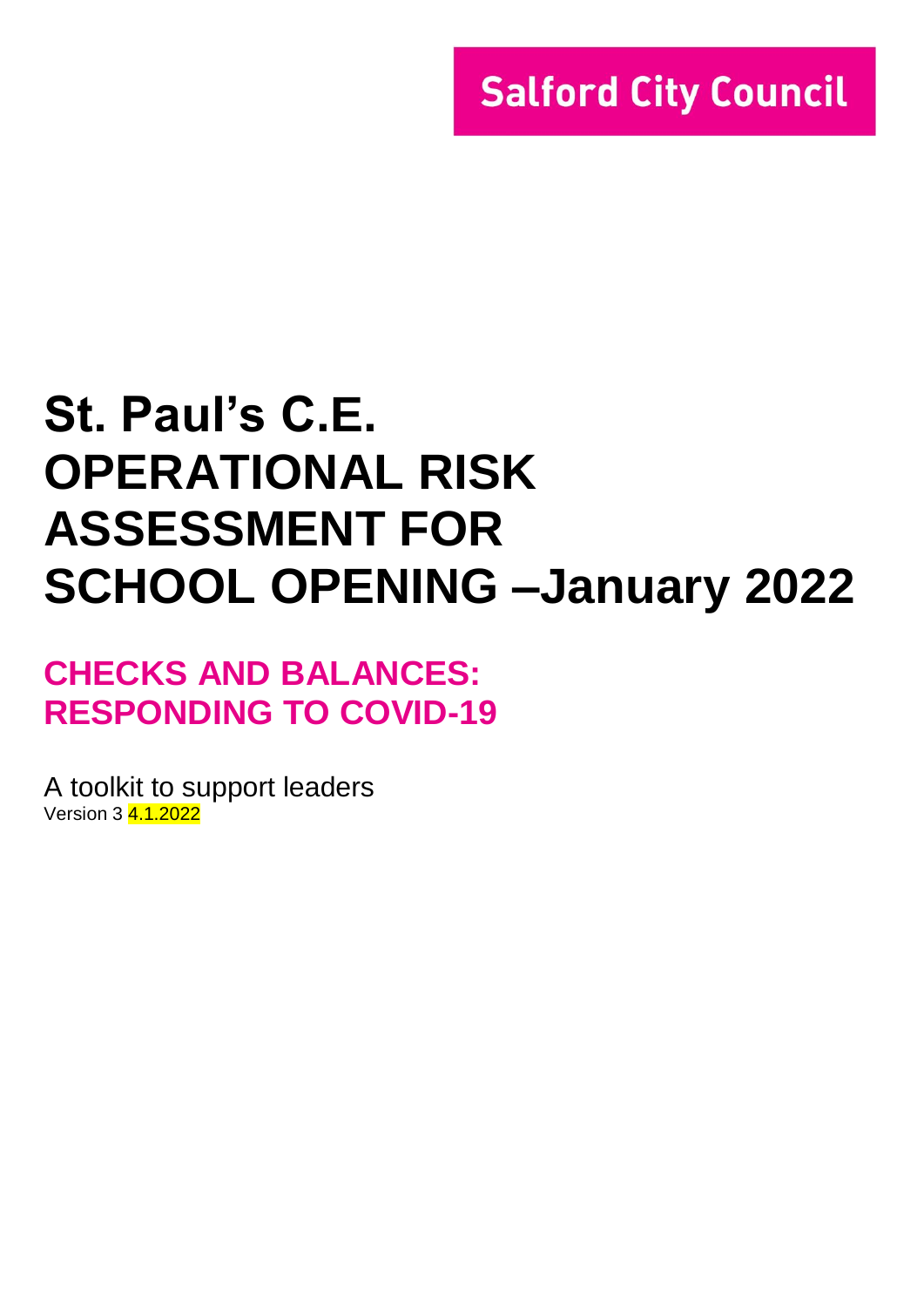# **St. Paul's C.E. OPERATIONAL RISK ASSESSMENT FOR SCHOOL OPENING –January 2022**

## **CHECKS AND BALANCES: RESPONDING TO COVID-19**

A toolkit to support leaders Version 3 4.1.2022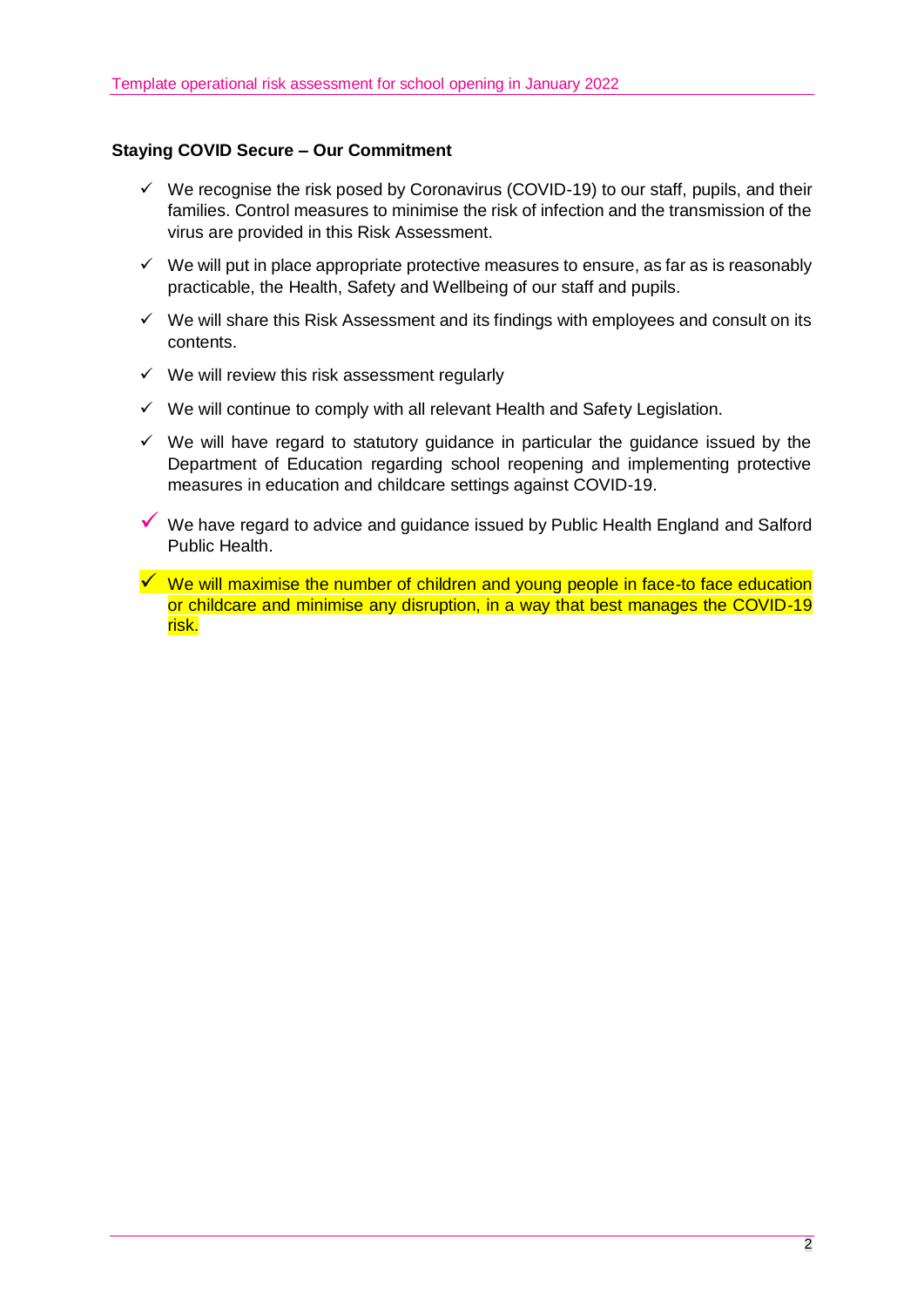#### **Staying COVID Secure – Our Commitment**

- $\checkmark$  We recognise the risk posed by Coronavirus (COVID-19) to our staff, pupils, and their families. Control measures to minimise the risk of infection and the transmission of the virus are provided in this Risk Assessment.
- $\checkmark$  We will put in place appropriate protective measures to ensure, as far as is reasonably practicable, the Health, Safety and Wellbeing of our staff and pupils.
- $\checkmark$  We will share this Risk Assessment and its findings with employees and consult on its contents.
- $\checkmark$  We will review this risk assessment regularly
- $\checkmark$  We will continue to comply with all relevant Health and Safety Legislation.
- $\checkmark$  We will have regard to statutory guidance in particular the guidance issued by the Department of Education regarding school reopening and implementing protective measures in education and childcare settings against COVID-19.
- ✓ We have regard to advice and guidance issued by Public Health England and Salford Public Health.
- $\checkmark$  We will maximise the number of children and young people in face-to face education or childcare and minimise any disruption, in a way that best manages the COVID-19 risk.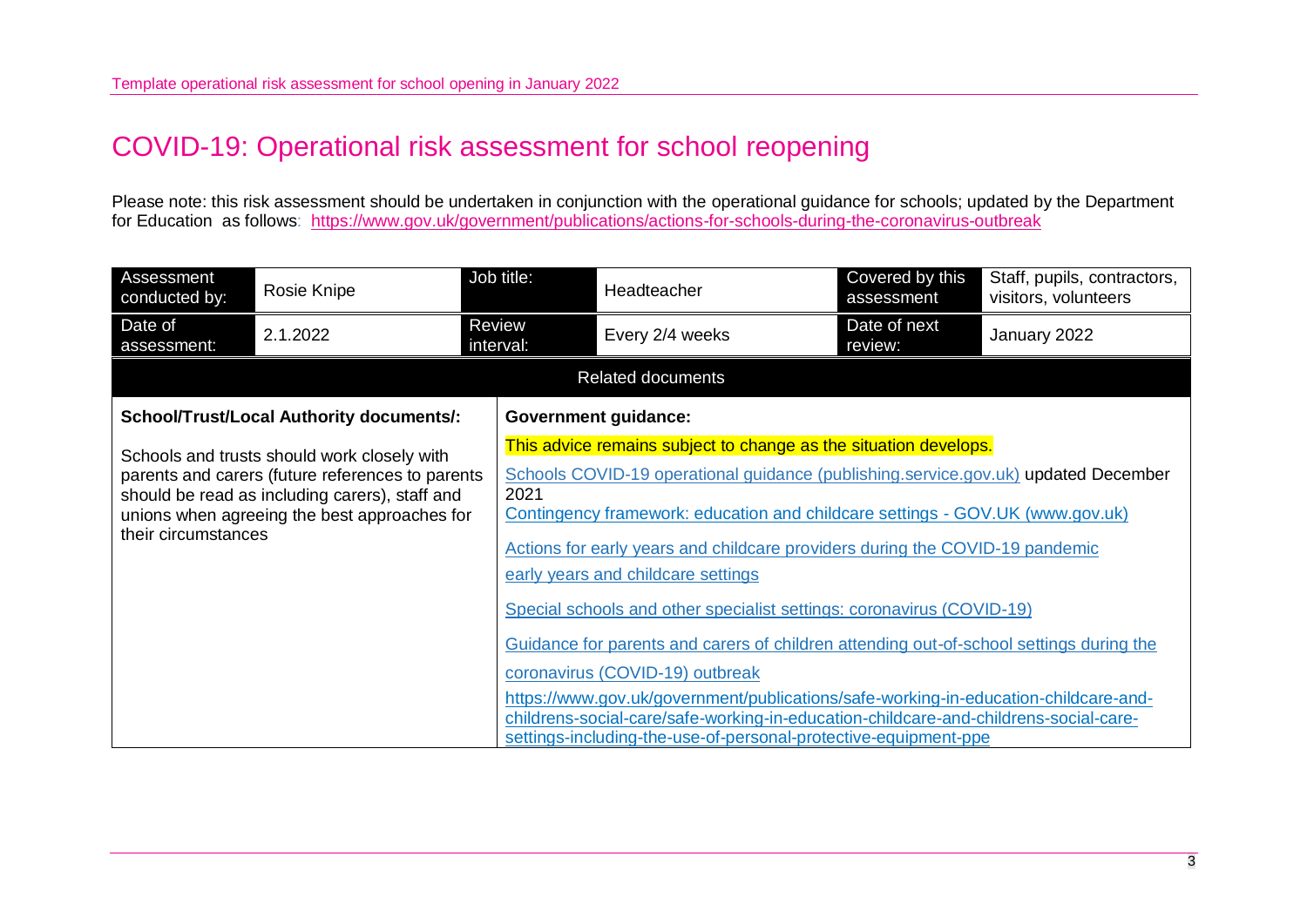### COVID-19: Operational risk assessment for school reopening

Please note: this risk assessment should be undertaken in conjunction with the operational guidance for schools; updated by the Department for Education as follows: [https://www.gov.uk/government/publications/actions-for-schools-during-the-coronavirus-outbreak](https://eur02.safelinks.protection.outlook.com/?url=https%3A%2F%2Fwww.gov.uk%2Fgovernment%2Fpublications%2Factions-for-schools-during-the-coronavirus-outbreak&data=04%7C01%7CRoberta.Greenwood%40salford.gov.uk%7C4fe178d25e8c4cafd2d708d9bf04f663%7C68c00060d80e40a5b83f3b8a5bc570b5%7C0%7C0%7C637750850293645923%7CUnknown%7CTWFpbGZsb3d8eyJWIjoiMC4wLjAwMDAiLCJQIjoiV2luMzIiLCJBTiI6Ik1haWwiLCJXVCI6Mn0%3D%7C3000&sdata=GKRfB2XkS0%2FCWy0m94rT9wSu%2BESfXnYQU3OSYPTKf9o%3D&reserved=0)

| Assessment<br>conducted by: | Rosie Knipe                                                                                                                                                                                       | Job title:          | Headteacher                                                                                                                                                                                                                                                                                                                                                                                                                                                                                                                                                                                                                                                                                                                                                                                                            | Covered by this<br>assessment | Staff, pupils, contractors,<br>visitors, volunteers |
|-----------------------------|---------------------------------------------------------------------------------------------------------------------------------------------------------------------------------------------------|---------------------|------------------------------------------------------------------------------------------------------------------------------------------------------------------------------------------------------------------------------------------------------------------------------------------------------------------------------------------------------------------------------------------------------------------------------------------------------------------------------------------------------------------------------------------------------------------------------------------------------------------------------------------------------------------------------------------------------------------------------------------------------------------------------------------------------------------------|-------------------------------|-----------------------------------------------------|
| Date of<br>assessment:      | 2.1.2022                                                                                                                                                                                          | Review<br>interval: | Every 2/4 weeks                                                                                                                                                                                                                                                                                                                                                                                                                                                                                                                                                                                                                                                                                                                                                                                                        | Date of next<br>review:       | January 2022                                        |
|                             |                                                                                                                                                                                                   |                     | <b>Related documents</b>                                                                                                                                                                                                                                                                                                                                                                                                                                                                                                                                                                                                                                                                                                                                                                                               |                               |                                                     |
|                             | <b>School/Trust/Local Authority documents/:</b>                                                                                                                                                   |                     | <b>Government guidance:</b>                                                                                                                                                                                                                                                                                                                                                                                                                                                                                                                                                                                                                                                                                                                                                                                            |                               |                                                     |
| their circumstances         | Schools and trusts should work closely with<br>parents and carers (future references to parents<br>should be read as including carers), staff and<br>unions when agreeing the best approaches for | 2021                | This advice remains subject to change as the situation develops.<br>Schools COVID-19 operational guidance (publishing.service.gov.uk) updated December<br>Contingency framework: education and childcare settings - GOV.UK (www.gov.uk)<br>Actions for early years and childcare providers during the COVID-19 pandemic<br>early years and childcare settings<br>Special schools and other specialist settings: coronavirus (COVID-19)<br>Guidance for parents and carers of children attending out-of-school settings during the<br>coronavirus (COVID-19) outbreak<br>https://www.gov.uk/government/publications/safe-working-in-education-childcare-and-<br>childrens-social-care/safe-working-in-education-childcare-and-childrens-social-care-<br>settings-including-the-use-of-personal-protective-equipment-ppe |                               |                                                     |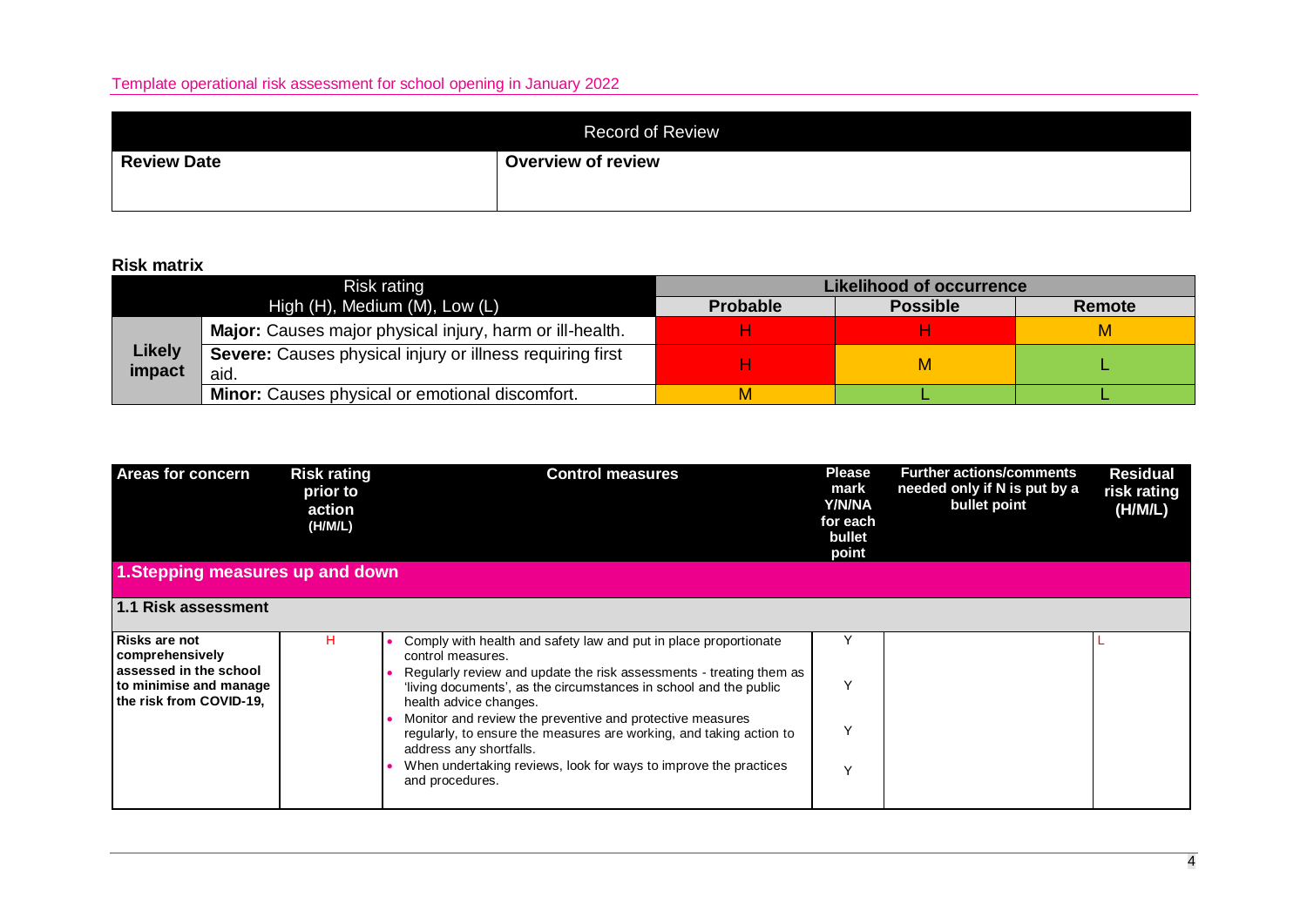|                    | <b>Record of Review</b>   |
|--------------------|---------------------------|
| <b>Review Date</b> | <b>Overview of review</b> |

#### **Risk matrix**

|                         | Risk rating                                                       | <b>Likelihood of occurrence</b> |                 |        |  |  |
|-------------------------|-------------------------------------------------------------------|---------------------------------|-----------------|--------|--|--|
|                         | High (H), Medium (M), Low (L)                                     | <b>Probable</b>                 | <b>Possible</b> | Remote |  |  |
|                         | Major: Causes major physical injury, harm or ill-health.          |                                 |                 | м      |  |  |
| <b>Likely</b><br>impact | Severe: Causes physical injury or illness requiring first<br>aid. |                                 |                 |        |  |  |
|                         | <b>Minor:</b> Causes physical or emotional discomfort.            |                                 |                 |        |  |  |

| <b>Areas for concern</b>                                                                                               | <b>Risk rating</b><br>prior to<br>action<br>(H/M/L) | <b>Control measures</b>                                                                                                                                                                                                                                                                                                                                                                         | <b>Please</b><br>mark<br><b>Y/N/NA</b><br>for each<br>bullet<br>point | <b>Further actions/comments</b><br>needed only if N is put by a<br>bullet point | <b>Residual</b><br>risk rating<br>(H/M/L) |
|------------------------------------------------------------------------------------------------------------------------|-----------------------------------------------------|-------------------------------------------------------------------------------------------------------------------------------------------------------------------------------------------------------------------------------------------------------------------------------------------------------------------------------------------------------------------------------------------------|-----------------------------------------------------------------------|---------------------------------------------------------------------------------|-------------------------------------------|
| 1. Stepping measures up and down                                                                                       |                                                     |                                                                                                                                                                                                                                                                                                                                                                                                 |                                                                       |                                                                                 |                                           |
| 1.1 Risk assessment                                                                                                    |                                                     |                                                                                                                                                                                                                                                                                                                                                                                                 |                                                                       |                                                                                 |                                           |
| <b>Risks are not</b><br>comprehensively<br>assessed in the school<br>to minimise and manage<br>the risk from COVID-19, | н                                                   | Comply with health and safety law and put in place proportionate<br>control measures.<br>Regularly review and update the risk assessments - treating them as<br>'living documents', as the circumstances in school and the public<br>health advice changes.<br>Monitor and review the preventive and protective measures<br>regularly, to ensure the measures are working, and taking action to |                                                                       |                                                                                 |                                           |
|                                                                                                                        |                                                     | address any shortfalls.<br>When undertaking reviews, look for ways to improve the practices<br>and procedures.                                                                                                                                                                                                                                                                                  | v                                                                     |                                                                                 |                                           |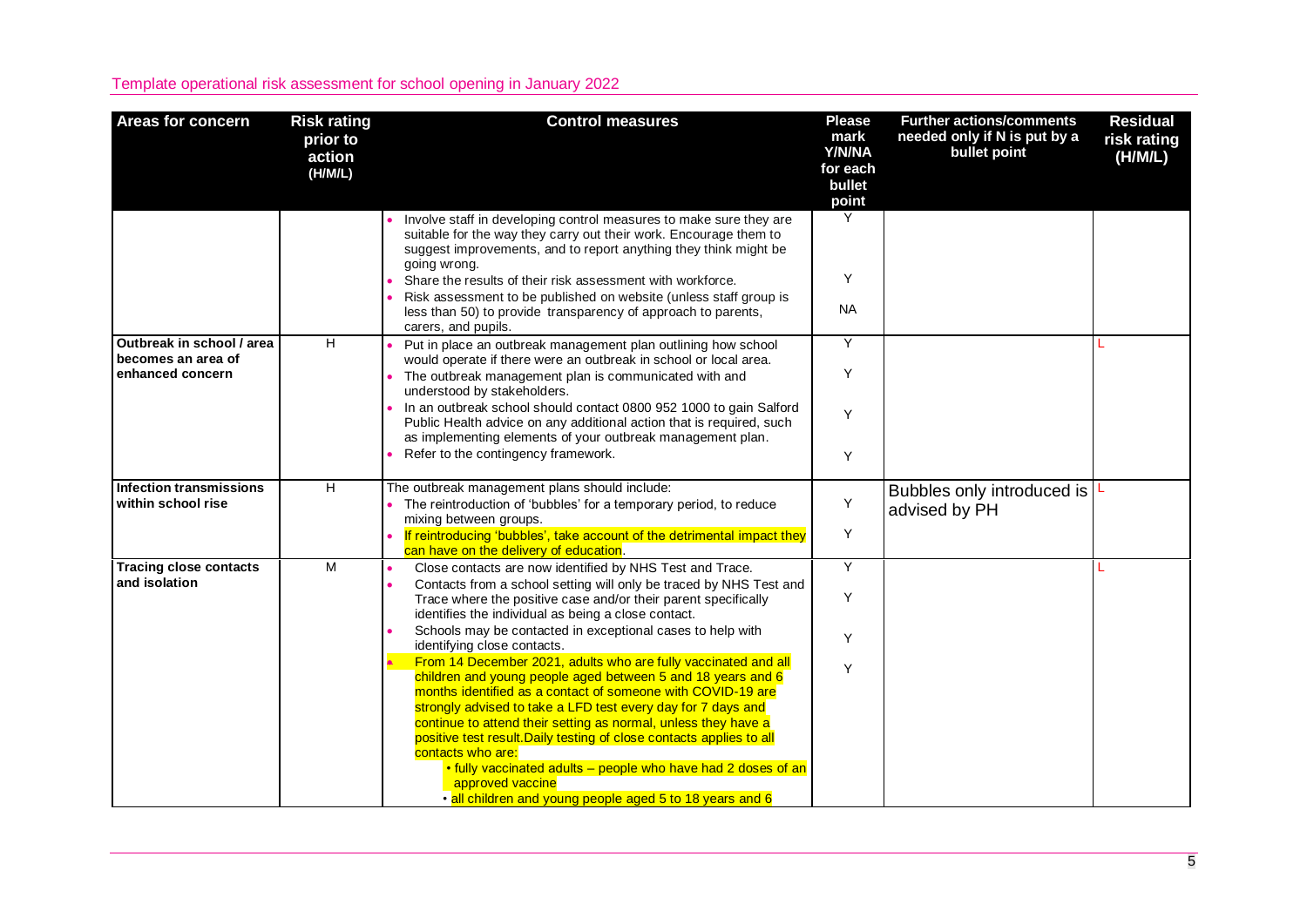| <b>Areas for concern</b>                                            | <b>Risk rating</b><br>prior to<br>action<br>(H/M/L) | <b>Control measures</b>                                                                                                                                                                                                                                                                                                                                                                                                                                                                                                                                                                                                                                                                                                                                                                                                                                                                                                                           | <b>Please</b><br>mark<br>Y/N/NA<br>for each<br>bullet<br>point | <b>Further actions/comments</b><br>needed only if N is put by a<br>bullet point | <b>Residual</b><br>risk rating<br>(H/M/L) |
|---------------------------------------------------------------------|-----------------------------------------------------|---------------------------------------------------------------------------------------------------------------------------------------------------------------------------------------------------------------------------------------------------------------------------------------------------------------------------------------------------------------------------------------------------------------------------------------------------------------------------------------------------------------------------------------------------------------------------------------------------------------------------------------------------------------------------------------------------------------------------------------------------------------------------------------------------------------------------------------------------------------------------------------------------------------------------------------------------|----------------------------------------------------------------|---------------------------------------------------------------------------------|-------------------------------------------|
|                                                                     |                                                     | Involve staff in developing control measures to make sure they are<br>suitable for the way they carry out their work. Encourage them to<br>suggest improvements, and to report anything they think might be<br>going wrong.<br>Share the results of their risk assessment with workforce.<br>Risk assessment to be published on website (unless staff group is<br>less than 50) to provide transparency of approach to parents,<br>carers, and pupils.                                                                                                                                                                                                                                                                                                                                                                                                                                                                                            | Y<br>Y<br><b>NA</b>                                            |                                                                                 |                                           |
| Outbreak in school / area<br>becomes an area of<br>enhanced concern | H                                                   | Put in place an outbreak management plan outlining how school<br>would operate if there were an outbreak in school or local area.<br>The outbreak management plan is communicated with and<br>understood by stakeholders.<br>. In an outbreak school should contact 0800 952 1000 to gain Salford<br>Public Health advice on any additional action that is required, such<br>as implementing elements of your outbreak management plan.<br>Refer to the contingency framework.                                                                                                                                                                                                                                                                                                                                                                                                                                                                    | Y<br>Y<br>Y<br>Y                                               |                                                                                 |                                           |
| Infection transmissions<br>within school rise                       | H                                                   | The outbreak management plans should include:<br>• The reintroduction of 'bubbles' for a temporary period, to reduce<br>mixing between groups.<br>If reintroducing 'bubbles', take account of the detrimental impact they<br>can have on the delivery of education.                                                                                                                                                                                                                                                                                                                                                                                                                                                                                                                                                                                                                                                                               | Υ<br>Y                                                         | Bubbles only introduced is $L$<br>advised by PH                                 |                                           |
| <b>Tracing close contacts</b><br>and isolation                      | M                                                   | Close contacts are now identified by NHS Test and Trace.<br>$\bullet$<br>Contacts from a school setting will only be traced by NHS Test and<br>Trace where the positive case and/or their parent specifically<br>identifies the individual as being a close contact.<br>Schools may be contacted in exceptional cases to help with<br>identifying close contacts.<br>From 14 December 2021, adults who are fully vaccinated and all<br>children and young people aged between 5 and 18 years and 6<br>months identified as a contact of someone with COVID-19 are<br>strongly advised to take a LFD test every day for 7 days and<br>continue to attend their setting as normal, unless they have a<br>positive test result. Daily testing of close contacts applies to all<br>contacts who are:<br>. fully vaccinated adults - people who have had 2 doses of an<br>approved vaccine<br>· all children and young people aged 5 to 18 years and 6 | Y<br>Y<br>Y<br>Y                                               |                                                                                 |                                           |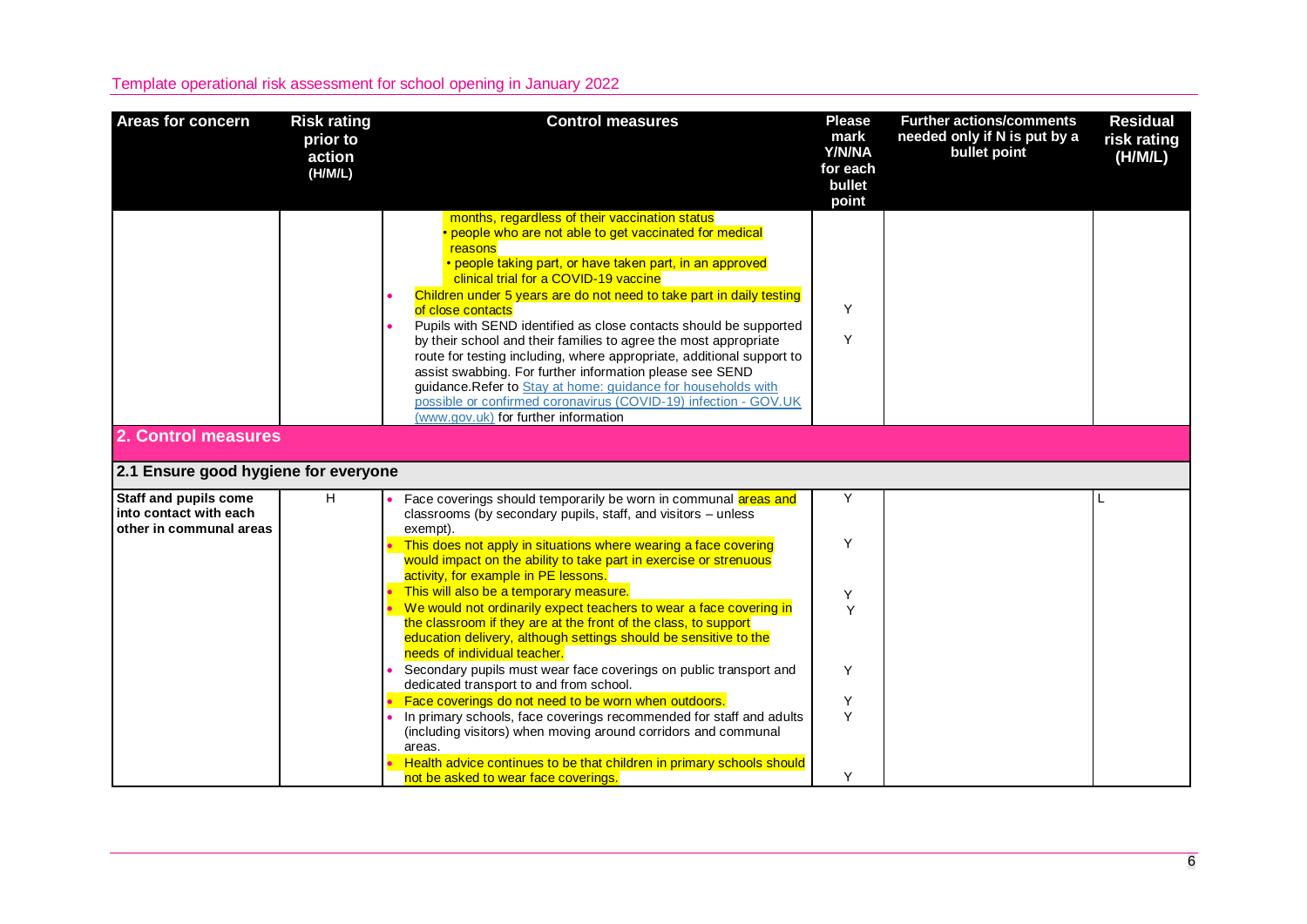| <b>Areas for concern</b>                                                          | <b>Risk rating</b><br>prior to<br>action<br>(H/M/L) | <b>Control measures</b>                                                                                                                                                                                                                                                                                                                                                                                                                                                                                                                                                                                                                                                                                                                                                        | <b>Please</b><br>mark<br>Y/N/NA<br>for each<br>bullet<br>point | <b>Further actions/comments</b><br>needed only if N is put by a<br>bullet point | <b>Residual</b><br>risk rating<br>(H/M/L) |
|-----------------------------------------------------------------------------------|-----------------------------------------------------|--------------------------------------------------------------------------------------------------------------------------------------------------------------------------------------------------------------------------------------------------------------------------------------------------------------------------------------------------------------------------------------------------------------------------------------------------------------------------------------------------------------------------------------------------------------------------------------------------------------------------------------------------------------------------------------------------------------------------------------------------------------------------------|----------------------------------------------------------------|---------------------------------------------------------------------------------|-------------------------------------------|
|                                                                                   |                                                     | months, regardless of their vaccination status<br>people who are not able to get vaccinated for medical<br>reasons<br>• people taking part, or have taken part, in an approved<br>clinical trial for a COVID-19 vaccine<br>Children under 5 years are do not need to take part in daily testing<br>of close contacts<br>Pupils with SEND identified as close contacts should be supported<br>by their school and their families to agree the most appropriate<br>route for testing including, where appropriate, additional support to<br>assist swabbing. For further information please see SEND<br>guidance. Refer to Stay at home: guidance for households with<br>possible or confirmed coronavirus (COVID-19) infection - GOV.UK<br>(www.gov.uk) for further information | Y<br>Y                                                         |                                                                                 |                                           |
| 2. Control measures                                                               |                                                     |                                                                                                                                                                                                                                                                                                                                                                                                                                                                                                                                                                                                                                                                                                                                                                                |                                                                |                                                                                 |                                           |
| 2.1 Ensure good hygiene for everyone                                              |                                                     |                                                                                                                                                                                                                                                                                                                                                                                                                                                                                                                                                                                                                                                                                                                                                                                |                                                                |                                                                                 |                                           |
| <b>Staff and pupils come</b><br>into contact with each<br>other in communal areas | H                                                   | Face coverings should temporarily be worn in communal areas and<br>classrooms (by secondary pupils, staff, and visitors – unless<br>exempt).                                                                                                                                                                                                                                                                                                                                                                                                                                                                                                                                                                                                                                   | Y                                                              |                                                                                 |                                           |
|                                                                                   |                                                     | This does not apply in situations where wearing a face covering<br>would impact on the ability to take part in exercise or strenuous<br>activity, for example in PE lessons.                                                                                                                                                                                                                                                                                                                                                                                                                                                                                                                                                                                                   | Y                                                              |                                                                                 |                                           |
|                                                                                   |                                                     | This will also be a temporary measure.<br>We would not ordinarily expect teachers to wear a face covering in<br>the classroom if they are at the front of the class, to support<br>education delivery, although settings should be sensitive to the<br>needs of individual teacher.                                                                                                                                                                                                                                                                                                                                                                                                                                                                                            | Y<br>Y                                                         |                                                                                 |                                           |
|                                                                                   |                                                     | Secondary pupils must wear face coverings on public transport and<br>dedicated transport to and from school.                                                                                                                                                                                                                                                                                                                                                                                                                                                                                                                                                                                                                                                                   | Y                                                              |                                                                                 |                                           |
|                                                                                   |                                                     | Face coverings do not need to be worn when outdoors.<br>In primary schools, face coverings recommended for staff and adults<br>(including visitors) when moving around corridors and communal<br>areas.                                                                                                                                                                                                                                                                                                                                                                                                                                                                                                                                                                        | Υ<br>Y                                                         |                                                                                 |                                           |
|                                                                                   |                                                     | Health advice continues to be that children in primary schools should<br>not be asked to wear face coverings.                                                                                                                                                                                                                                                                                                                                                                                                                                                                                                                                                                                                                                                                  | Y                                                              |                                                                                 |                                           |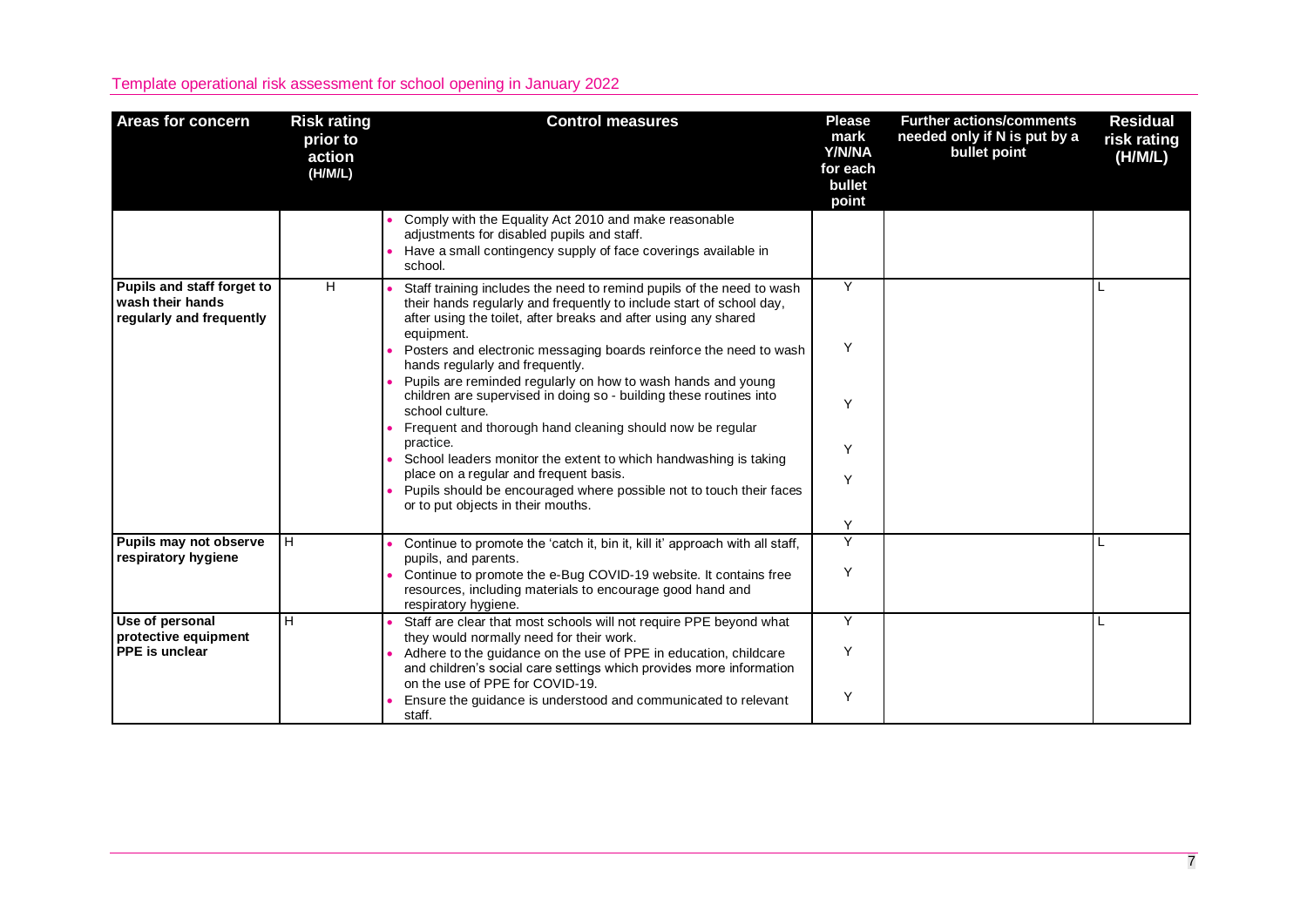| <b>Areas for concern</b>                                                   | <b>Risk rating</b><br>prior to<br>action<br>(H/M/L) | <b>Control measures</b>                                                                                                                                                                                                        | <b>Please</b><br>mark<br>Y/N/NA<br>for each<br>bullet<br>point | <b>Further actions/comments</b><br>needed only if N is put by a<br>bullet point | <b>Residual</b><br>risk rating<br>(H/M/L) |
|----------------------------------------------------------------------------|-----------------------------------------------------|--------------------------------------------------------------------------------------------------------------------------------------------------------------------------------------------------------------------------------|----------------------------------------------------------------|---------------------------------------------------------------------------------|-------------------------------------------|
|                                                                            |                                                     | Comply with the Equality Act 2010 and make reasonable<br>adjustments for disabled pupils and staff.<br>Have a small contingency supply of face coverings available in<br>school.                                               |                                                                |                                                                                 |                                           |
| Pupils and staff forget to<br>wash their hands<br>regularly and frequently | H                                                   | Staff training includes the need to remind pupils of the need to wash<br>their hands regularly and frequently to include start of school day,<br>after using the toilet, after breaks and after using any shared<br>equipment. | Y                                                              |                                                                                 | L                                         |
|                                                                            |                                                     | Posters and electronic messaging boards reinforce the need to wash<br>hands regularly and frequently.                                                                                                                          | Y                                                              |                                                                                 |                                           |
|                                                                            |                                                     | Pupils are reminded regularly on how to wash hands and young<br>children are supervised in doing so - building these routines into<br>school culture.                                                                          | Y                                                              |                                                                                 |                                           |
|                                                                            |                                                     | Frequent and thorough hand cleaning should now be regular<br>practice.<br>School leaders monitor the extent to which handwashing is taking                                                                                     | Y                                                              |                                                                                 |                                           |
|                                                                            |                                                     | place on a regular and frequent basis.<br>Pupils should be encouraged where possible not to touch their faces<br>or to put objects in their mouths.                                                                            | Υ                                                              |                                                                                 |                                           |
|                                                                            |                                                     |                                                                                                                                                                                                                                | Y                                                              |                                                                                 |                                           |
| Pupils may not observe<br>respiratory hygiene                              | H                                                   | Continue to promote the 'catch it, bin it, kill it' approach with all staff,<br>pupils, and parents.                                                                                                                           | Y<br>Y                                                         |                                                                                 |                                           |
|                                                                            |                                                     | Continue to promote the e-Bug COVID-19 website. It contains free<br>resources, including materials to encourage good hand and<br>respiratory hygiene.                                                                          |                                                                |                                                                                 |                                           |
| Use of personal<br>protective equipment                                    | н                                                   | Staff are clear that most schools will not require PPE beyond what<br>they would normally need for their work.                                                                                                                 | Y                                                              |                                                                                 |                                           |
| PPE is unclear                                                             |                                                     | Adhere to the guidance on the use of PPE in education, childcare<br>and children's social care settings which provides more information<br>on the use of PPE for COVID-19.                                                     | Y                                                              |                                                                                 |                                           |
|                                                                            |                                                     | Ensure the quidance is understood and communicated to relevant<br>staff.                                                                                                                                                       | Y                                                              |                                                                                 |                                           |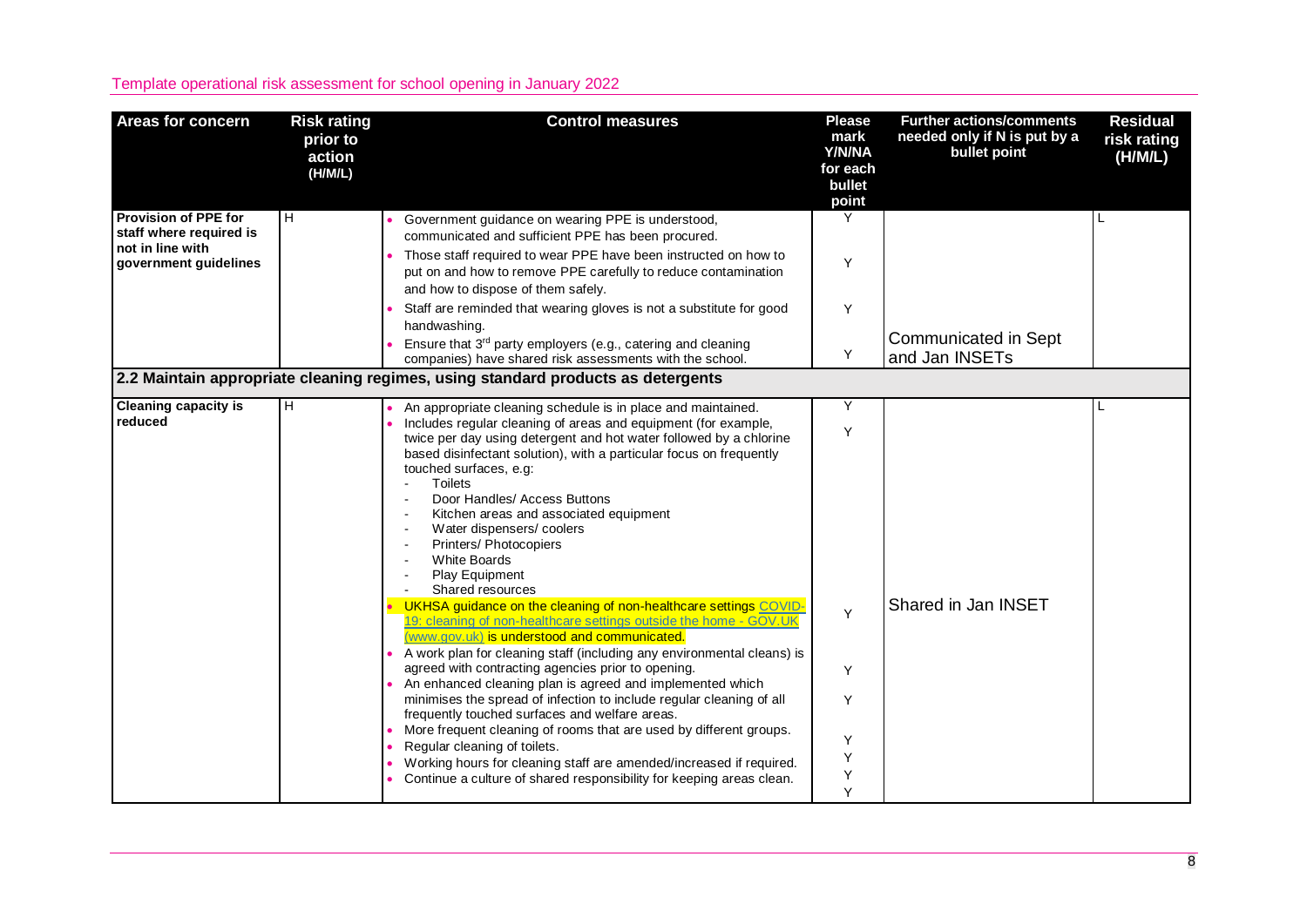| <b>Areas for concern</b>                                                                            | <b>Risk rating</b><br>prior to<br>action<br>(H/M/L) | <b>Control measures</b>                                                                                                                                                                                                                                                                             | <b>Please</b><br>mark<br>Y/N/NA<br>for each<br>bullet<br>point | <b>Further actions/comments</b><br>needed only if N is put by a<br>bullet point | <b>Residual</b><br>risk rating<br>(H/M/L) |
|-----------------------------------------------------------------------------------------------------|-----------------------------------------------------|-----------------------------------------------------------------------------------------------------------------------------------------------------------------------------------------------------------------------------------------------------------------------------------------------------|----------------------------------------------------------------|---------------------------------------------------------------------------------|-------------------------------------------|
| <b>Provision of PPE for</b><br>staff where required is<br>not in line with<br>government guidelines | lн.                                                 | Government guidance on wearing PPE is understood,<br>communicated and sufficient PPE has been procured.<br>Those staff required to wear PPE have been instructed on how to<br>put on and how to remove PPE carefully to reduce contamination<br>and how to dispose of them safely.                  | Y<br>Y                                                         |                                                                                 |                                           |
|                                                                                                     |                                                     | Staff are reminded that wearing gloves is not a substitute for good<br>handwashing.<br>Ensure that 3rd party employers (e.g., catering and cleaning<br>companies) have shared risk assessments with the school.<br>2.2 Maintain appropriate cleaning regimes, using standard products as detergents | Y<br>Y                                                         | Communicated in Sept<br>and Jan INSETs                                          |                                           |
|                                                                                                     |                                                     |                                                                                                                                                                                                                                                                                                     |                                                                |                                                                                 |                                           |
| <b>Cleaning capacity is</b><br>reduced                                                              | H                                                   | An appropriate cleaning schedule is in place and maintained.<br>Includes regular cleaning of areas and equipment (for example,<br>twice per day using detergent and hot water followed by a chlorine<br>based disinfectant solution), with a particular focus on frequently                         | Y<br>Y                                                         |                                                                                 |                                           |
|                                                                                                     |                                                     | touched surfaces, e.g:<br><b>Toilets</b><br>Door Handles/ Access Buttons<br>Kitchen areas and associated equipment<br>Water dispensers/coolers<br>Printers/ Photocopiers<br><b>White Boards</b><br>Play Equipment<br>Shared resources                                                               |                                                                |                                                                                 |                                           |
|                                                                                                     |                                                     | UKHSA guidance on the cleaning of non-healthcare settings COVID-<br>19: cleaning of non-healthcare settings outside the home - GOV.UK<br>(www.gov.uk) is understood and communicated.                                                                                                               | Y                                                              | Shared in Jan INSET                                                             |                                           |
|                                                                                                     |                                                     | A work plan for cleaning staff (including any environmental cleans) is<br>agreed with contracting agencies prior to opening.<br>An enhanced cleaning plan is agreed and implemented which                                                                                                           | Y                                                              |                                                                                 |                                           |
|                                                                                                     |                                                     | minimises the spread of infection to include regular cleaning of all<br>frequently touched surfaces and welfare areas.                                                                                                                                                                              | Y                                                              |                                                                                 |                                           |
|                                                                                                     |                                                     | More frequent cleaning of rooms that are used by different groups.<br>Regular cleaning of toilets.<br>Working hours for cleaning staff are amended/increased if required.                                                                                                                           | Y<br>Y                                                         |                                                                                 |                                           |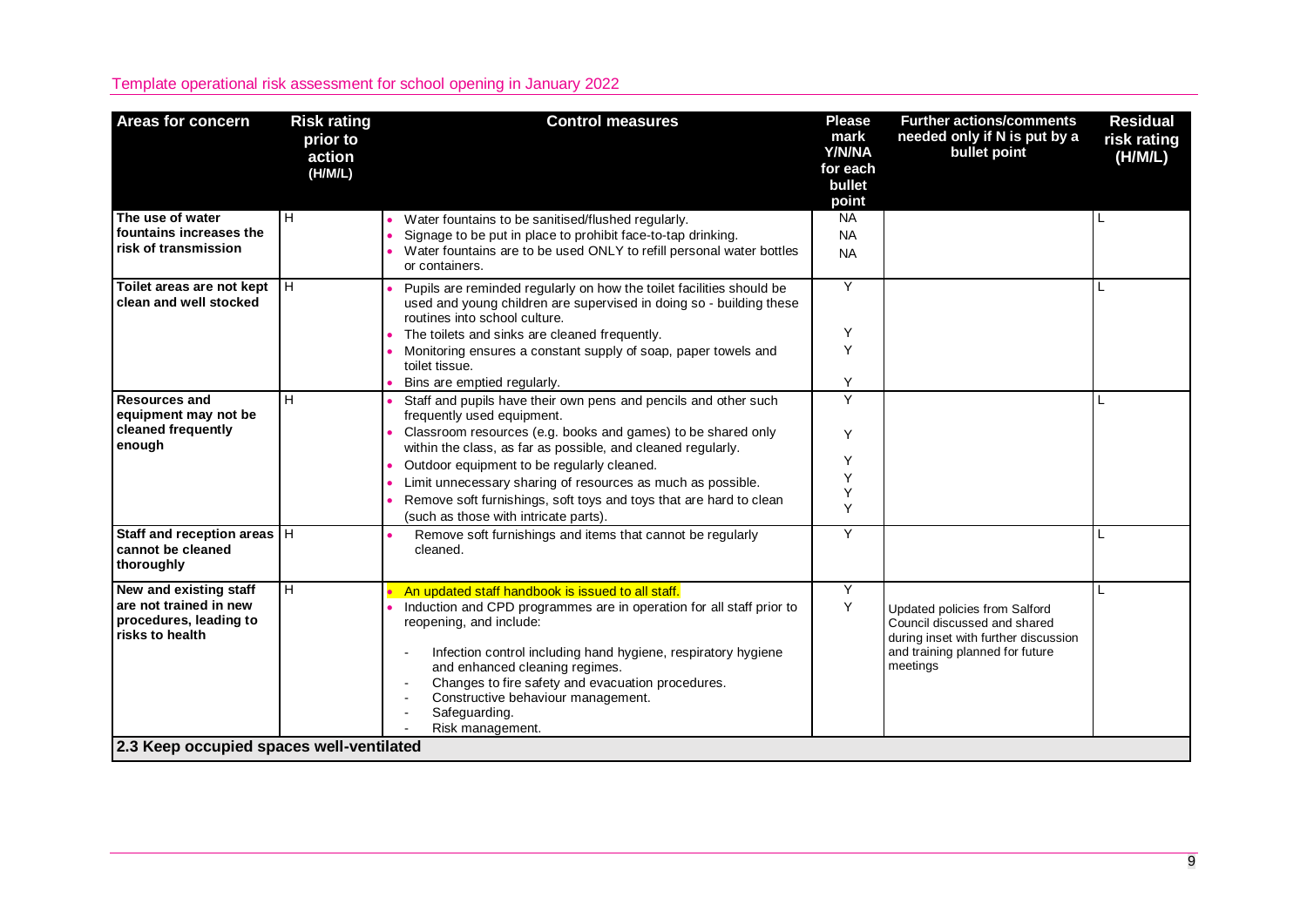|                                                                                                                 | prior to<br>action<br>(H/M/L) | <b>Control measures</b>                                                                                                                                                                                                                                                                                                            | <b>Please</b><br>mark<br><b>Y/N/NA</b><br>for each<br>bullet<br>point | <b>Further actions/comments</b><br>needed only if N is put by a<br>bullet point                                                                      | <b>Residual</b><br>risk rating<br>(H/M/L) |
|-----------------------------------------------------------------------------------------------------------------|-------------------------------|------------------------------------------------------------------------------------------------------------------------------------------------------------------------------------------------------------------------------------------------------------------------------------------------------------------------------------|-----------------------------------------------------------------------|------------------------------------------------------------------------------------------------------------------------------------------------------|-------------------------------------------|
| The use of water<br>fountains increases the                                                                     | H                             | Water fountains to be sanitised/flushed regularly.                                                                                                                                                                                                                                                                                 | <b>NA</b>                                                             |                                                                                                                                                      | L                                         |
| risk of transmission                                                                                            |                               | Signage to be put in place to prohibit face-to-tap drinking.<br>Water fountains are to be used ONLY to refill personal water bottles<br>or containers.                                                                                                                                                                             | <b>NA</b><br><b>NA</b>                                                |                                                                                                                                                      |                                           |
| Toilet areas are not kept<br>clean and well stocked                                                             | Iн                            | Pupils are reminded regularly on how the toilet facilities should be<br>used and young children are supervised in doing so - building these<br>routines into school culture.                                                                                                                                                       | Y                                                                     |                                                                                                                                                      | L                                         |
|                                                                                                                 |                               | The toilets and sinks are cleaned frequently.                                                                                                                                                                                                                                                                                      | Y                                                                     |                                                                                                                                                      |                                           |
|                                                                                                                 |                               | Monitoring ensures a constant supply of soap, paper towels and<br>toilet tissue.<br>Bins are emptied regularly.                                                                                                                                                                                                                    | Y<br>Y                                                                |                                                                                                                                                      |                                           |
| <b>Resources and</b>                                                                                            | H                             | Staff and pupils have their own pens and pencils and other such                                                                                                                                                                                                                                                                    | Y                                                                     |                                                                                                                                                      |                                           |
| equipment may not be<br>cleaned frequently<br>enough                                                            |                               | frequently used equipment.<br>Classroom resources (e.g. books and games) to be shared only                                                                                                                                                                                                                                         | Y                                                                     |                                                                                                                                                      |                                           |
|                                                                                                                 |                               | within the class, as far as possible, and cleaned regularly.<br>Outdoor equipment to be regularly cleaned.                                                                                                                                                                                                                         | Υ                                                                     |                                                                                                                                                      |                                           |
|                                                                                                                 |                               | Limit unnecessary sharing of resources as much as possible.                                                                                                                                                                                                                                                                        | Υ                                                                     |                                                                                                                                                      |                                           |
|                                                                                                                 |                               | Remove soft furnishings, soft toys and toys that are hard to clean<br>(such as those with intricate parts).                                                                                                                                                                                                                        | Υ<br>Y                                                                |                                                                                                                                                      |                                           |
| Staff and reception areas   H<br>cannot be cleaned<br>thoroughly                                                |                               | Remove soft furnishings and items that cannot be regularly<br>cleaned.                                                                                                                                                                                                                                                             | Y                                                                     |                                                                                                                                                      |                                           |
| New and existing staff                                                                                          | H                             | An updated staff handbook is issued to all staff.                                                                                                                                                                                                                                                                                  | Y                                                                     |                                                                                                                                                      | L                                         |
| are not trained in new<br>procedures, leading to<br>risks to health<br>2.3 Keep occupied spaces well-ventilated |                               | Induction and CPD programmes are in operation for all staff prior to<br>reopening, and include:<br>Infection control including hand hygiene, respiratory hygiene<br>and enhanced cleaning regimes.<br>Changes to fire safety and evacuation procedures.<br>Constructive behaviour management.<br>Safeguarding.<br>Risk management. | Y                                                                     | Updated policies from Salford<br>Council discussed and shared<br>during inset with further discussion<br>and training planned for future<br>meetings |                                           |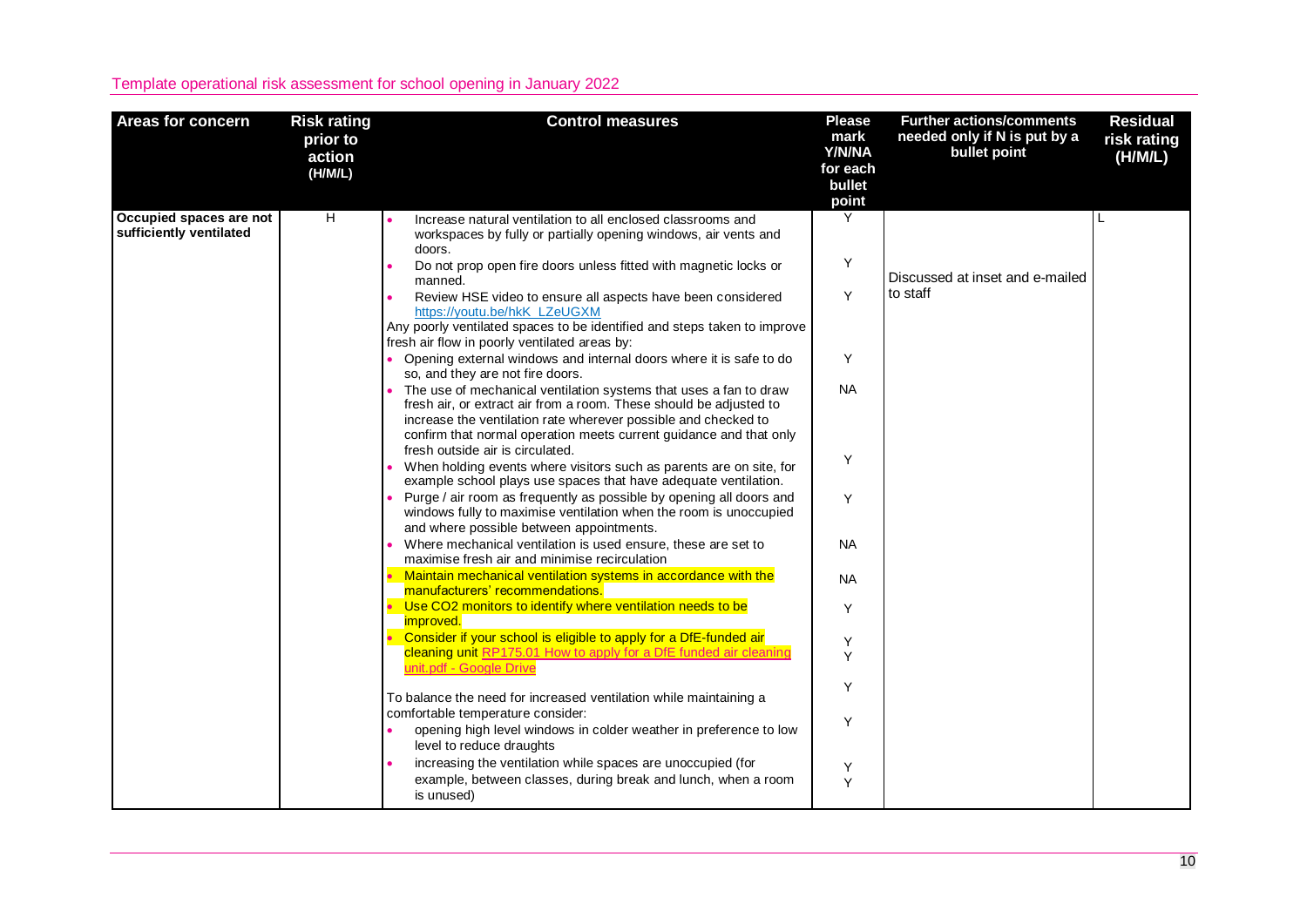| <b>Areas for concern</b>                           | <b>Risk rating</b><br>prior to<br>action<br>(H/M/L) | <b>Control measures</b>                                                                                                                                                                                                                                                                                                                                                                                                                                                                                                                                                                                                                                                                                                                                                                                                                                                                                                                                                                                                                                                                                                                                                                                                                                                                                                                                                                                                                                                                                                                                                                                                                                                                                                                                                                                                                                                                                                                                                                                                                           | <b>Please</b><br>mark<br>Y/N/NA<br>for each<br>bullet<br>point                                       | <b>Further actions/comments</b><br>needed only if N is put by a<br>bullet point | <b>Residual</b><br>risk rating<br>(H/M/L) |
|----------------------------------------------------|-----------------------------------------------------|---------------------------------------------------------------------------------------------------------------------------------------------------------------------------------------------------------------------------------------------------------------------------------------------------------------------------------------------------------------------------------------------------------------------------------------------------------------------------------------------------------------------------------------------------------------------------------------------------------------------------------------------------------------------------------------------------------------------------------------------------------------------------------------------------------------------------------------------------------------------------------------------------------------------------------------------------------------------------------------------------------------------------------------------------------------------------------------------------------------------------------------------------------------------------------------------------------------------------------------------------------------------------------------------------------------------------------------------------------------------------------------------------------------------------------------------------------------------------------------------------------------------------------------------------------------------------------------------------------------------------------------------------------------------------------------------------------------------------------------------------------------------------------------------------------------------------------------------------------------------------------------------------------------------------------------------------------------------------------------------------------------------------------------------------|------------------------------------------------------------------------------------------------------|---------------------------------------------------------------------------------|-------------------------------------------|
| Occupied spaces are not<br>sufficiently ventilated | $\overline{H}$                                      | Increase natural ventilation to all enclosed classrooms and<br>workspaces by fully or partially opening windows, air vents and<br>doors.<br>Do not prop open fire doors unless fitted with magnetic locks or<br>manned.<br>Review HSE video to ensure all aspects have been considered<br>https://voutu.be/hkK_LZeUGXM<br>Any poorly ventilated spaces to be identified and steps taken to improve<br>fresh air flow in poorly ventilated areas by:<br>Opening external windows and internal doors where it is safe to do<br>so, and they are not fire doors.<br>• The use of mechanical ventilation systems that uses a fan to draw<br>fresh air, or extract air from a room. These should be adjusted to<br>increase the ventilation rate wherever possible and checked to<br>confirm that normal operation meets current guidance and that only<br>fresh outside air is circulated.<br>When holding events where visitors such as parents are on site, for<br>example school plays use spaces that have adequate ventilation.<br>Purge / air room as frequently as possible by opening all doors and<br>windows fully to maximise ventilation when the room is unoccupied<br>and where possible between appointments.<br>Where mechanical ventilation is used ensure, these are set to<br>maximise fresh air and minimise recirculation<br>Maintain mechanical ventilation systems in accordance with the<br>manufacturers' recommendations.<br>Use CO2 monitors to identify where ventilation needs to be<br><i>improved.</i><br>Consider if your school is eligible to apply for a DfE-funded air<br>cleaning unit RP175.01 How to apply for a DfE funded air cleaning<br>unit.pdf - Google Drive<br>To balance the need for increased ventilation while maintaining a<br>comfortable temperature consider:<br>opening high level windows in colder weather in preference to low<br>level to reduce draughts<br>increasing the ventilation while spaces are unoccupied (for<br>example, between classes, during break and lunch, when a room | Y<br>Υ<br>Y<br>Y<br><b>NA</b><br>Y<br>Y<br><b>NA</b><br><b>NA</b><br>Y<br>Y<br>Y<br>Y<br>Y<br>Υ<br>Y | Discussed at inset and e-mailed<br>to staff                                     |                                           |
|                                                    |                                                     | is unused)                                                                                                                                                                                                                                                                                                                                                                                                                                                                                                                                                                                                                                                                                                                                                                                                                                                                                                                                                                                                                                                                                                                                                                                                                                                                                                                                                                                                                                                                                                                                                                                                                                                                                                                                                                                                                                                                                                                                                                                                                                        |                                                                                                      |                                                                                 |                                           |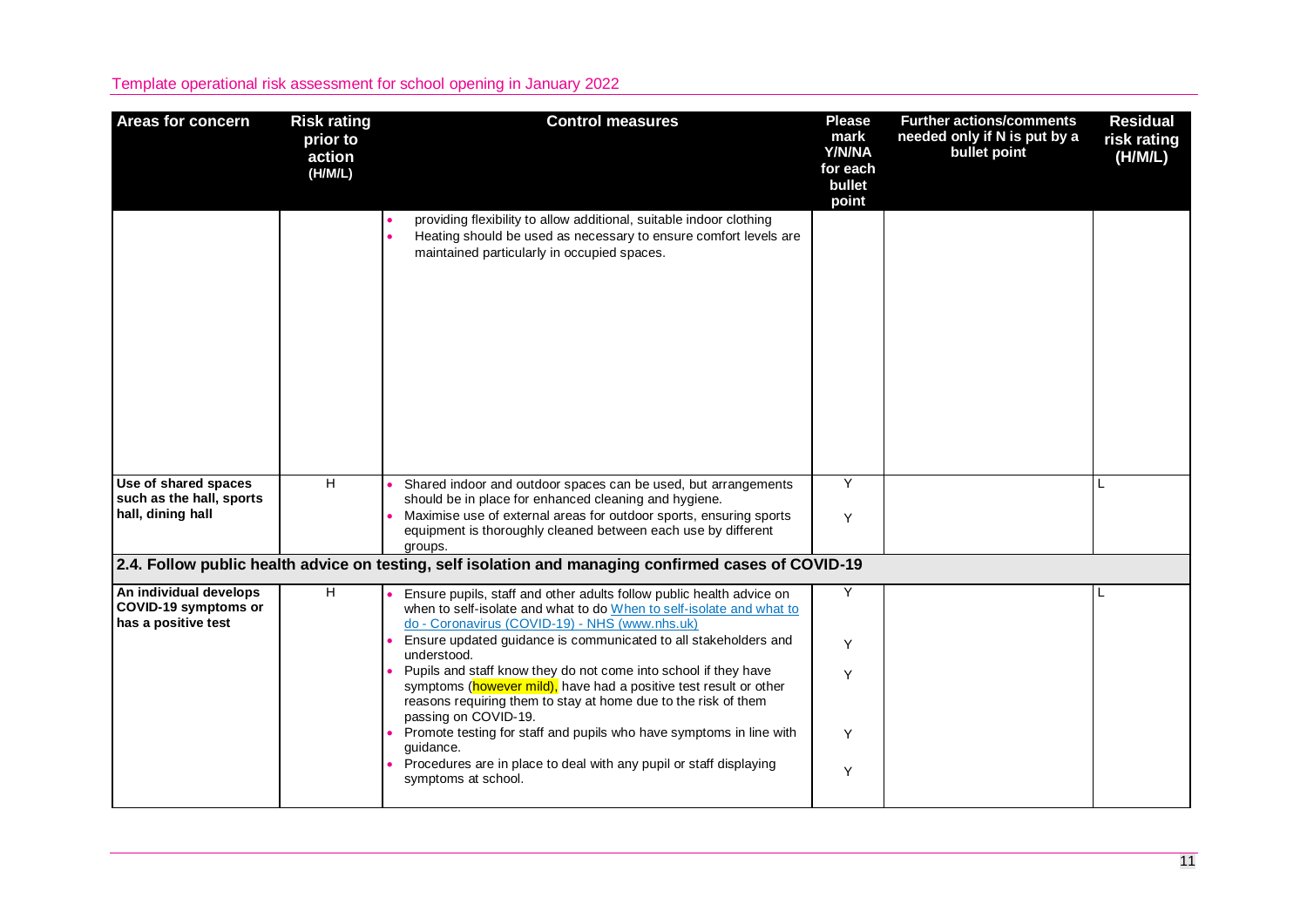| <b>Areas for concern</b>                                              | <b>Risk rating</b><br>prior to<br>action<br>(H/M/L) | <b>Control measures</b>                                                                                                                                                                                                                                                                                                                                                                                                                                                                                                                                                                                                                                                                             | <b>Please</b><br>mark<br>Y/N/NA<br>for each<br>bullet<br>point | <b>Further actions/comments</b><br>needed only if N is put by a<br>bullet point | <b>Residual</b><br>risk rating<br>(H/M/L) |
|-----------------------------------------------------------------------|-----------------------------------------------------|-----------------------------------------------------------------------------------------------------------------------------------------------------------------------------------------------------------------------------------------------------------------------------------------------------------------------------------------------------------------------------------------------------------------------------------------------------------------------------------------------------------------------------------------------------------------------------------------------------------------------------------------------------------------------------------------------------|----------------------------------------------------------------|---------------------------------------------------------------------------------|-------------------------------------------|
|                                                                       |                                                     | providing flexibility to allow additional, suitable indoor clothing<br>Heating should be used as necessary to ensure comfort levels are<br>maintained particularly in occupied spaces.                                                                                                                                                                                                                                                                                                                                                                                                                                                                                                              |                                                                |                                                                                 |                                           |
| Use of shared spaces<br>such as the hall, sports<br>hall, dining hall | H                                                   | Shared indoor and outdoor spaces can be used, but arrangements<br>should be in place for enhanced cleaning and hygiene.<br>Maximise use of external areas for outdoor sports, ensuring sports<br>equipment is thoroughly cleaned between each use by different<br>groups.                                                                                                                                                                                                                                                                                                                                                                                                                           | Y<br>Y                                                         |                                                                                 | L                                         |
|                                                                       |                                                     | 2.4. Follow public health advice on testing, self isolation and managing confirmed cases of COVID-19                                                                                                                                                                                                                                                                                                                                                                                                                                                                                                                                                                                                |                                                                |                                                                                 |                                           |
| An individual develops<br>COVID-19 symptoms or<br>has a positive test | н                                                   | Ensure pupils, staff and other adults follow public health advice on<br>when to self-isolate and what to do When to self-isolate and what to<br>do - Coronavirus (COVID-19) - NHS (www.nhs.uk)<br>Ensure updated guidance is communicated to all stakeholders and<br>understood.<br>Pupils and staff know they do not come into school if they have<br>symptoms (however mild), have had a positive test result or other<br>reasons requiring them to stay at home due to the risk of them<br>passing on COVID-19.<br>Promote testing for staff and pupils who have symptoms in line with<br>guidance.<br>Procedures are in place to deal with any pupil or staff displaying<br>symptoms at school. | Y<br>Y<br>Y<br>Y<br>Y                                          |                                                                                 | L                                         |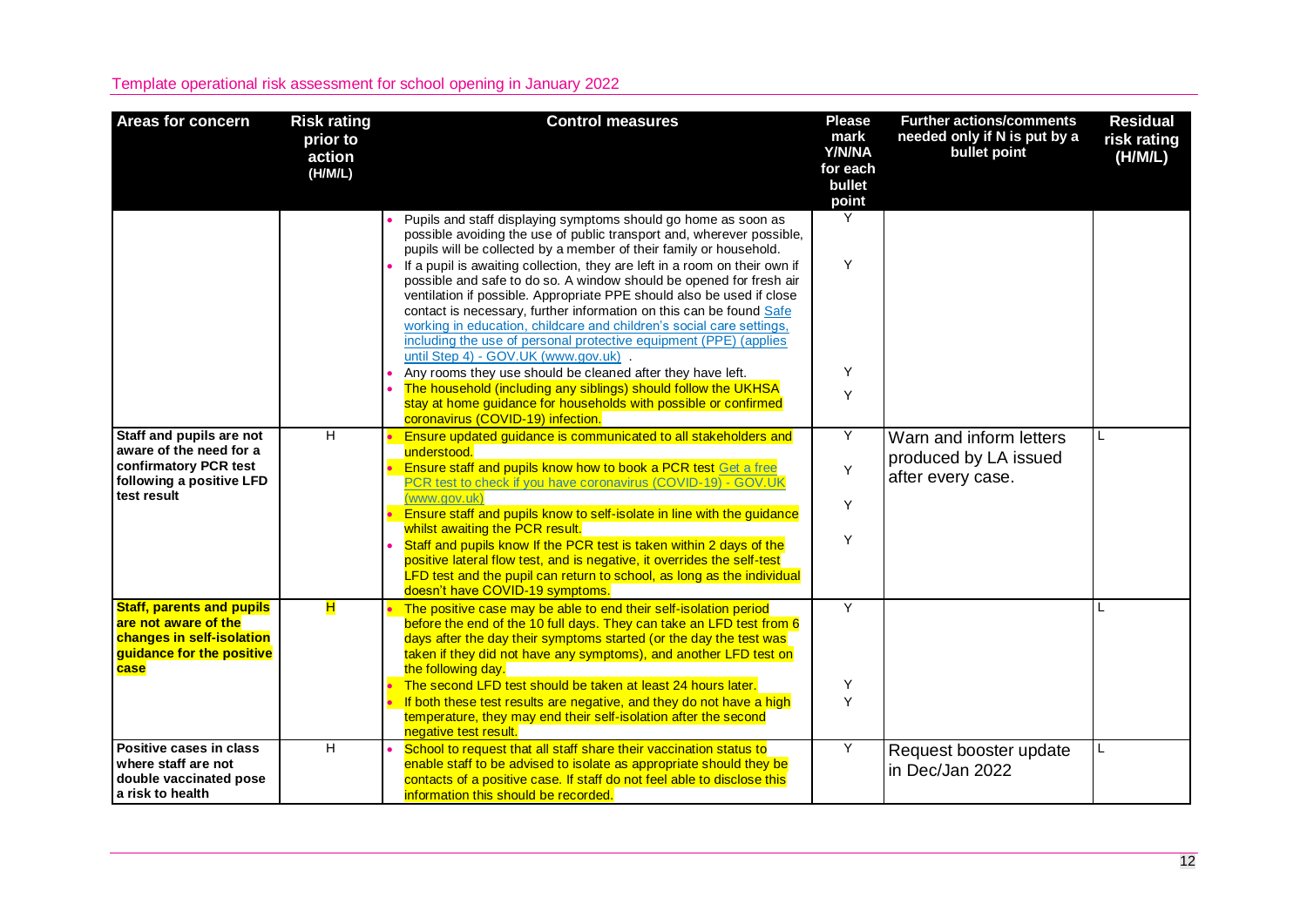| <b>Areas for concern</b>                                                                                                   | <b>Risk rating</b><br>prior to<br>action<br>(H/M/L) | <b>Control measures</b>                                                                                                                                                                                                                                                                                                                                                                                                                                                                                                                                                                                                                                                                                                                                                                                                                                                                                                                          | <b>Please</b><br>mark<br>Y/N/NA<br>for each<br>bullet<br>point | <b>Further actions/comments</b><br>needed only if N is put by a<br>bullet point | <b>Residual</b><br>risk rating<br>(H/M/L) |
|----------------------------------------------------------------------------------------------------------------------------|-----------------------------------------------------|--------------------------------------------------------------------------------------------------------------------------------------------------------------------------------------------------------------------------------------------------------------------------------------------------------------------------------------------------------------------------------------------------------------------------------------------------------------------------------------------------------------------------------------------------------------------------------------------------------------------------------------------------------------------------------------------------------------------------------------------------------------------------------------------------------------------------------------------------------------------------------------------------------------------------------------------------|----------------------------------------------------------------|---------------------------------------------------------------------------------|-------------------------------------------|
|                                                                                                                            |                                                     | • Pupils and staff displaying symptoms should go home as soon as<br>possible avoiding the use of public transport and, wherever possible,<br>pupils will be collected by a member of their family or household.<br>If a pupil is awaiting collection, they are left in a room on their own if<br>possible and safe to do so. A window should be opened for fresh air<br>ventilation if possible. Appropriate PPE should also be used if close<br>contact is necessary, further information on this can be found Safe<br>working in education, childcare and children's social care settings,<br>including the use of personal protective equipment (PPE) (applies<br>until Step 4) - GOV.UK (www.gov.uk)<br>Any rooms they use should be cleaned after they have left.<br>The household (including any siblings) should follow the UKHSA<br>stay at home guidance for households with possible or confirmed<br>coronavirus (COVID-19) infection. | Y<br>Y<br>Y<br>Y                                               |                                                                                 |                                           |
| Staff and pupils are not<br>aware of the need for a<br>confirmatory PCR test<br>following a positive LFD<br>test result    | H                                                   | Ensure updated guidance is communicated to all stakeholders and<br>understood.<br>Ensure staff and pupils know how to book a PCR test Get a free<br>PCR test to check if you have coronavirus (COVID-19) - GOV.UK<br>(www.gov.uk)<br>Ensure staff and pupils know to self-isolate in line with the guidance<br>whilst awaiting the PCR result.<br>Staff and pupils know If the PCR test is taken within 2 days of the<br>positive lateral flow test, and is negative, it overrides the self-test<br>LFD test and the pupil can return to school, as long as the individual<br>doesn't have COVID-19 symptoms.                                                                                                                                                                                                                                                                                                                                    | Y<br>Y<br>Y<br>Y                                               | Warn and inform letters<br>produced by LA issued<br>after every case.           | L                                         |
| <b>Staff, parents and pupils</b><br>are not aware of the<br>changes in self-isolation<br>guidance for the positive<br>case | H                                                   | The positive case may be able to end their self-isolation period<br>before the end of the 10 full days. They can take an LFD test from 6<br>days after the day their symptoms started (or the day the test was<br>taken if they did not have any symptoms), and another LFD test on<br>the following day.<br>The second LFD test should be taken at least 24 hours later.<br>If both these test results are negative, and they do not have a high<br>temperature, they may end their self-isolation after the second<br>negative test result.                                                                                                                                                                                                                                                                                                                                                                                                    | Y<br>Y<br>Y                                                    |                                                                                 | L                                         |
| Positive cases in class<br>where staff are not<br>double vaccinated pose<br>a risk to health                               | H                                                   | School to request that all staff share their vaccination status to<br>enable staff to be advised to isolate as appropriate should they be<br>contacts of a positive case. If staff do not feel able to disclose this<br>information this should be recorded.                                                                                                                                                                                                                                                                                                                                                                                                                                                                                                                                                                                                                                                                                     | Y                                                              | Request booster update<br>in Dec/Jan 2022                                       |                                           |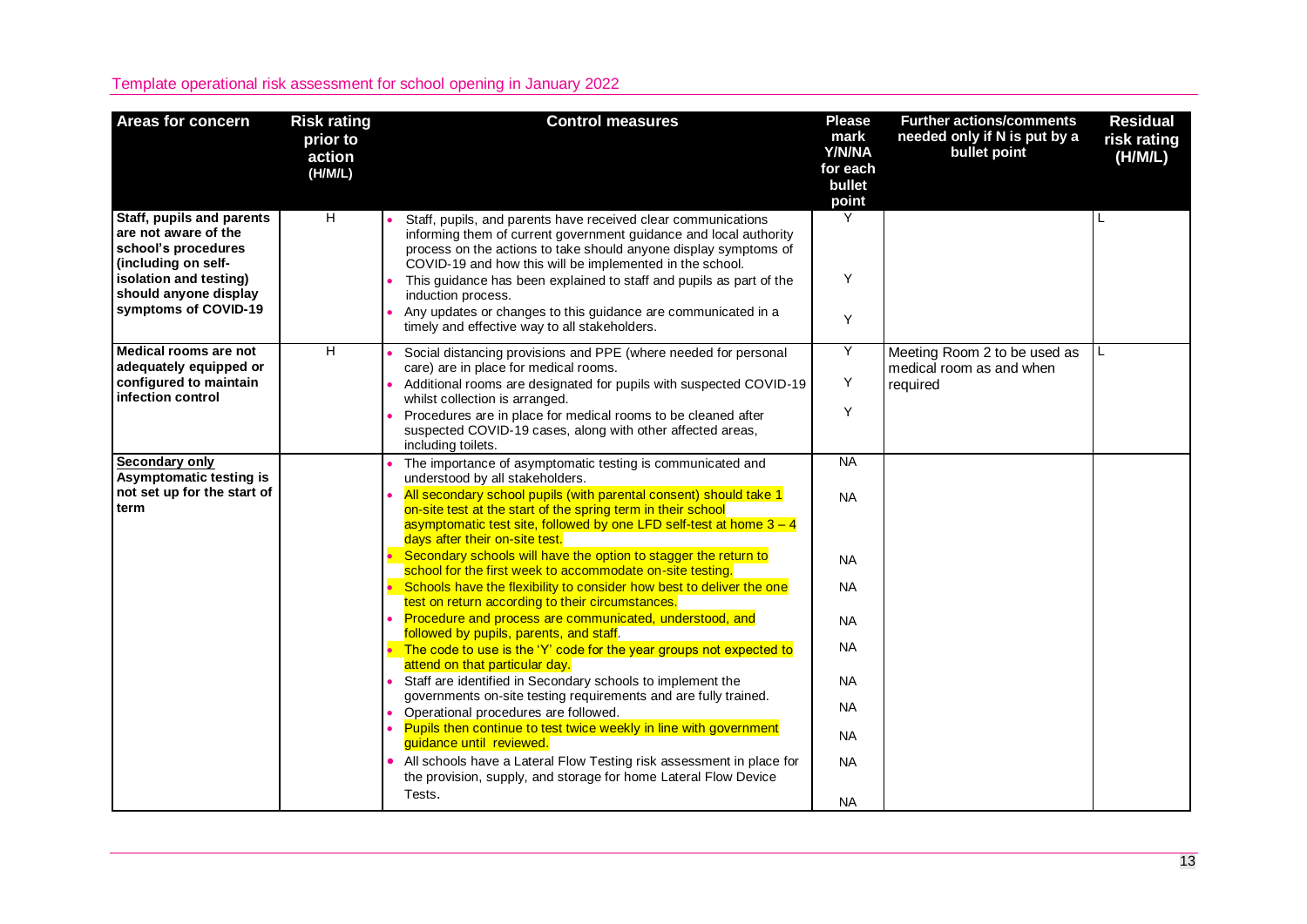| <b>Areas for concern</b>                                                                                                                                                   | <b>Risk rating</b><br>prior to<br>action<br>(H/M/L) | <b>Control measures</b>                                                                                                                                                                                                                                                                                                                                                                                                                                                                                                                                                                                                                                                                                                                                               | <b>Please</b><br>mark<br>Y/N/NA<br>for each<br>bullet<br>point                          | <b>Further actions/comments</b><br>needed only if N is put by a<br>bullet point | <b>Residual</b><br>risk rating<br>(H/M/L) |
|----------------------------------------------------------------------------------------------------------------------------------------------------------------------------|-----------------------------------------------------|-----------------------------------------------------------------------------------------------------------------------------------------------------------------------------------------------------------------------------------------------------------------------------------------------------------------------------------------------------------------------------------------------------------------------------------------------------------------------------------------------------------------------------------------------------------------------------------------------------------------------------------------------------------------------------------------------------------------------------------------------------------------------|-----------------------------------------------------------------------------------------|---------------------------------------------------------------------------------|-------------------------------------------|
| Staff, pupils and parents<br>are not aware of the<br>school's procedures<br>(including on self-<br>isolation and testing)<br>should anyone display<br>symptoms of COVID-19 | H                                                   | Staff, pupils, and parents have received clear communications<br>informing them of current government guidance and local authority<br>process on the actions to take should anyone display symptoms of<br>COVID-19 and how this will be implemented in the school.<br>This guidance has been explained to staff and pupils as part of the<br>induction process.<br>Any updates or changes to this guidance are communicated in a<br>timely and effective way to all stakeholders.                                                                                                                                                                                                                                                                                     | Y<br>Y<br>Y                                                                             |                                                                                 | L                                         |
| Medical rooms are not<br>adequately equipped or<br>configured to maintain<br>infection control                                                                             | H                                                   | Social distancing provisions and PPE (where needed for personal<br>care) are in place for medical rooms.<br>Additional rooms are designated for pupils with suspected COVID-19<br>whilst collection is arranged.<br>Procedures are in place for medical rooms to be cleaned after<br>suspected COVID-19 cases, along with other affected areas,<br>including toilets.                                                                                                                                                                                                                                                                                                                                                                                                 | Y<br>Y<br>Y                                                                             | Meeting Room 2 to be used as<br>medical room as and when<br>required            | L.                                        |
| <b>Secondary only</b><br>Asymptomatic testing is<br>not set up for the start of<br>term                                                                                    |                                                     | The importance of asymptomatic testing is communicated and<br>understood by all stakeholders.<br>All secondary school pupils (with parental consent) should take 1<br>on-site test at the start of the spring term in their school<br>asymptomatic test site, followed by one LFD self-test at home $3 - 4$<br>days after their on-site test.<br>Secondary schools will have the option to stagger the return to                                                                                                                                                                                                                                                                                                                                                      | <b>NA</b><br><b>NA</b><br><b>NA</b>                                                     |                                                                                 |                                           |
|                                                                                                                                                                            |                                                     | school for the first week to accommodate on-site testing.<br>Schools have the flexibility to consider how best to deliver the one<br>test on return according to their circumstances.<br>Procedure and process are communicated, understood, and<br>followed by pupils, parents, and staff.<br>The code to use is the 'Y' code for the year groups not expected to<br>attend on that particular day.<br>Staff are identified in Secondary schools to implement the<br>governments on-site testing requirements and are fully trained.<br>Operational procedures are followed.<br>$\bullet$<br>Pupils then continue to test twice weekly in line with government<br>guidance until reviewed.<br>• All schools have a Lateral Flow Testing risk assessment in place for | <b>NA</b><br><b>NA</b><br><b>NA</b><br><b>NA</b><br><b>NA</b><br><b>NA</b><br><b>NA</b> |                                                                                 |                                           |
|                                                                                                                                                                            |                                                     | the provision, supply, and storage for home Lateral Flow Device<br>Tests.                                                                                                                                                                                                                                                                                                                                                                                                                                                                                                                                                                                                                                                                                             | <b>NA</b>                                                                               |                                                                                 |                                           |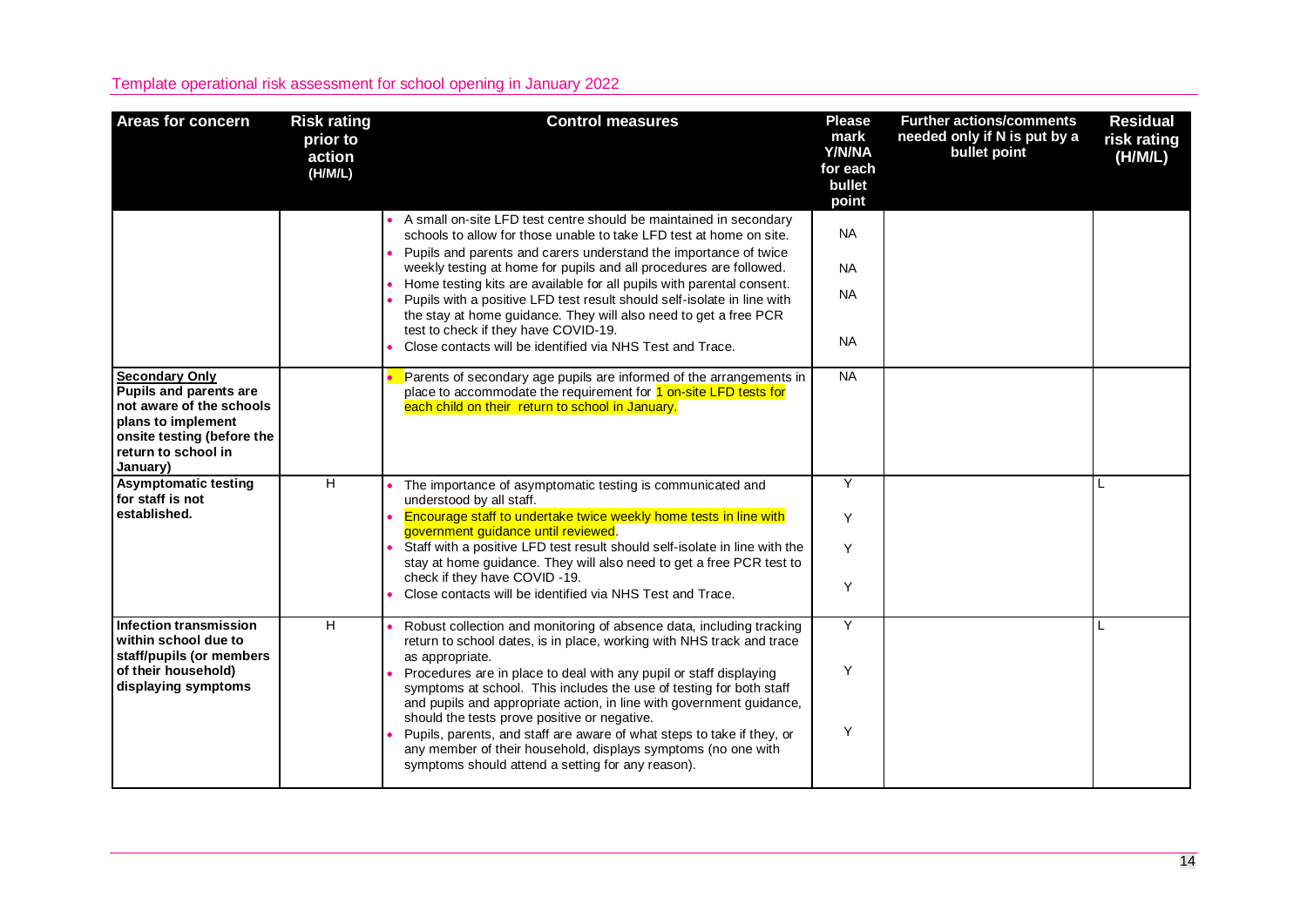| <b>Areas for concern</b>                                                                                                                                                  | <b>Risk rating</b><br>prior to<br>action<br>(H/M/L) | <b>Control measures</b>                                                                                                                                                                                                                                                                                                                                                                                                                                           | <b>Please</b><br>mark<br>Y/N/NA<br>for each<br>bullet<br>point | <b>Further actions/comments</b><br>needed only if N is put by a<br>bullet point | <b>Residual</b><br>risk rating<br>(H/M/L) |
|---------------------------------------------------------------------------------------------------------------------------------------------------------------------------|-----------------------------------------------------|-------------------------------------------------------------------------------------------------------------------------------------------------------------------------------------------------------------------------------------------------------------------------------------------------------------------------------------------------------------------------------------------------------------------------------------------------------------------|----------------------------------------------------------------|---------------------------------------------------------------------------------|-------------------------------------------|
|                                                                                                                                                                           |                                                     | A small on-site LFD test centre should be maintained in secondary<br>schools to allow for those unable to take LFD test at home on site.<br>• Pupils and parents and carers understand the importance of twice                                                                                                                                                                                                                                                    | <b>NA</b>                                                      |                                                                                 |                                           |
|                                                                                                                                                                           |                                                     | weekly testing at home for pupils and all procedures are followed.<br>Home testing kits are available for all pupils with parental consent.<br>• Pupils with a positive LFD test result should self-isolate in line with                                                                                                                                                                                                                                          | <b>NA</b><br><b>NA</b>                                         |                                                                                 |                                           |
|                                                                                                                                                                           |                                                     | the stay at home guidance. They will also need to get a free PCR<br>test to check if they have COVID-19.<br>Close contacts will be identified via NHS Test and Trace.                                                                                                                                                                                                                                                                                             | <b>NA</b>                                                      |                                                                                 |                                           |
| <b>Secondary Only</b><br><b>Pupils and parents are</b><br>not aware of the schools<br>plans to implement<br>onsite testing (before the<br>return to school in<br>January) |                                                     | Parents of secondary age pupils are informed of the arrangements in<br>place to accommodate the requirement for 1 on-site LFD tests for<br>each child on their return to school in January.                                                                                                                                                                                                                                                                       | <b>NA</b>                                                      |                                                                                 |                                           |
| <b>Asymptomatic testing</b><br>for staff is not<br>established.                                                                                                           | $\overline{H}$                                      | The importance of asymptomatic testing is communicated and<br>understood by all staff.<br>Encourage staff to undertake twice weekly home tests in line with                                                                                                                                                                                                                                                                                                       | Y                                                              |                                                                                 |                                           |
|                                                                                                                                                                           |                                                     | government guidance until reviewed.<br>Staff with a positive LFD test result should self-isolate in line with the<br>stay at home guidance. They will also need to get a free PCR test to                                                                                                                                                                                                                                                                         | Y<br>Y                                                         |                                                                                 |                                           |
|                                                                                                                                                                           |                                                     | check if they have COVID-19.<br>Close contacts will be identified via NHS Test and Trace.                                                                                                                                                                                                                                                                                                                                                                         | Y                                                              |                                                                                 |                                           |
| Infection transmission<br>within school due to<br>staff/pupils (or members                                                                                                | $\overline{H}$                                      | Robust collection and monitoring of absence data, including tracking<br>return to school dates, is in place, working with NHS track and trace<br>as appropriate.                                                                                                                                                                                                                                                                                                  | Y                                                              |                                                                                 |                                           |
| of their household)<br>displaying symptoms                                                                                                                                |                                                     | Procedures are in place to deal with any pupil or staff displaying<br>symptoms at school. This includes the use of testing for both staff<br>and pupils and appropriate action, in line with government guidance,<br>should the tests prove positive or negative.<br>Pupils, parents, and staff are aware of what steps to take if they, or<br>any member of their household, displays symptoms (no one with<br>symptoms should attend a setting for any reason). | Y<br>Y                                                         |                                                                                 |                                           |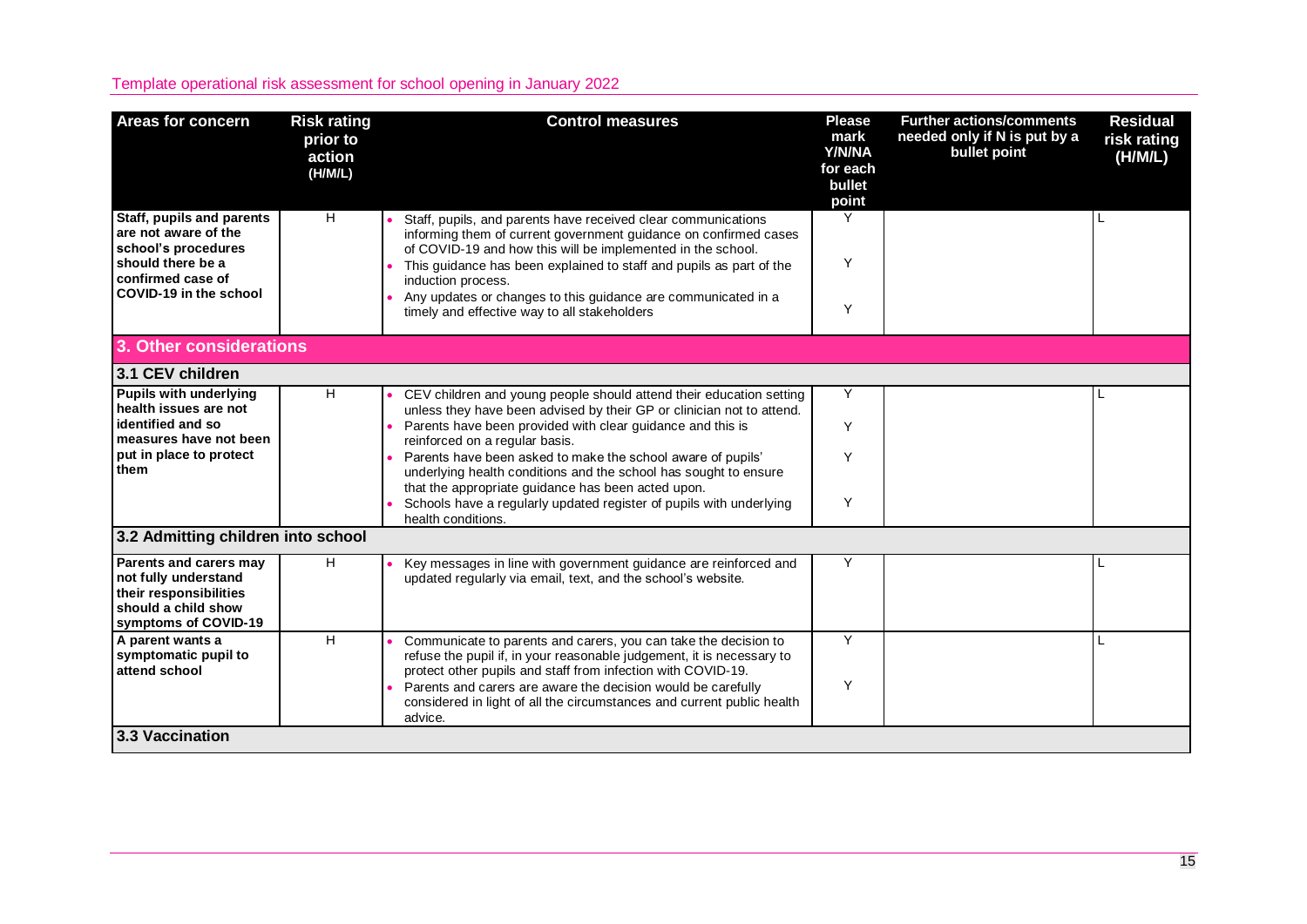| <b>Areas for concern</b>                                                                                                | <b>Risk rating</b><br>prior to<br>action<br>(H/M/L) | <b>Control measures</b>                                                                                                                                                                                    | <b>Please</b><br>mark<br>Y/N/NA<br>for each<br>bullet<br>point | <b>Further actions/comments</b><br>needed only if N is put by a<br>bullet point | <b>Residual</b><br>risk rating<br>(H/M/L) |  |  |
|-------------------------------------------------------------------------------------------------------------------------|-----------------------------------------------------|------------------------------------------------------------------------------------------------------------------------------------------------------------------------------------------------------------|----------------------------------------------------------------|---------------------------------------------------------------------------------|-------------------------------------------|--|--|
| Staff, pupils and parents<br>are not aware of the<br>school's procedures                                                | H                                                   | Staff, pupils, and parents have received clear communications<br>informing them of current government guidance on confirmed cases<br>of COVID-19 and how this will be implemented in the school.           | Y                                                              |                                                                                 |                                           |  |  |
| should there be a<br>confirmed case of<br>COVID-19 in the school                                                        |                                                     | This quidance has been explained to staff and pupils as part of the<br>induction process.<br>Any updates or changes to this guidance are communicated in a<br>timely and effective way to all stakeholders | Y<br>Y                                                         |                                                                                 |                                           |  |  |
| 3. Other considerations                                                                                                 |                                                     |                                                                                                                                                                                                            |                                                                |                                                                                 |                                           |  |  |
| 3.1 CEV children                                                                                                        |                                                     |                                                                                                                                                                                                            |                                                                |                                                                                 |                                           |  |  |
| <b>Pupils with underlying</b><br>health issues are not                                                                  | H                                                   | CEV children and young people should attend their education setting                                                                                                                                        | Y                                                              |                                                                                 |                                           |  |  |
| identified and so<br>measures have not been                                                                             |                                                     | unless they have been advised by their GP or clinician not to attend.<br>Parents have been provided with clear guidance and this is<br>reinforced on a regular basis.                                      | Y                                                              |                                                                                 |                                           |  |  |
| put in place to protect<br>them                                                                                         |                                                     | Parents have been asked to make the school aware of pupils'<br>underlying health conditions and the school has sought to ensure<br>that the appropriate guidance has been acted upon.                      | Y                                                              |                                                                                 |                                           |  |  |
|                                                                                                                         |                                                     | Schools have a regularly updated register of pupils with underlying<br>health conditions.                                                                                                                  | Y                                                              |                                                                                 |                                           |  |  |
| 3.2 Admitting children into school                                                                                      |                                                     |                                                                                                                                                                                                            |                                                                |                                                                                 |                                           |  |  |
| Parents and carers may<br>not fully understand<br>their responsibilities<br>should a child show<br>symptoms of COVID-19 | H                                                   | Key messages in line with government guidance are reinforced and<br>updated regularly via email, text, and the school's website.                                                                           | Y                                                              |                                                                                 |                                           |  |  |
| A parent wants a<br>symptomatic pupil to<br>attend school                                                               | H                                                   | Communicate to parents and carers, you can take the decision to<br>refuse the pupil if, in your reasonable judgement, it is necessary to<br>protect other pupils and staff from infection with COVID-19.   | Y                                                              |                                                                                 |                                           |  |  |
|                                                                                                                         |                                                     | Parents and carers are aware the decision would be carefully<br>considered in light of all the circumstances and current public health<br>advice.                                                          | Y                                                              |                                                                                 |                                           |  |  |
| 3.3 Vaccination                                                                                                         |                                                     |                                                                                                                                                                                                            |                                                                |                                                                                 |                                           |  |  |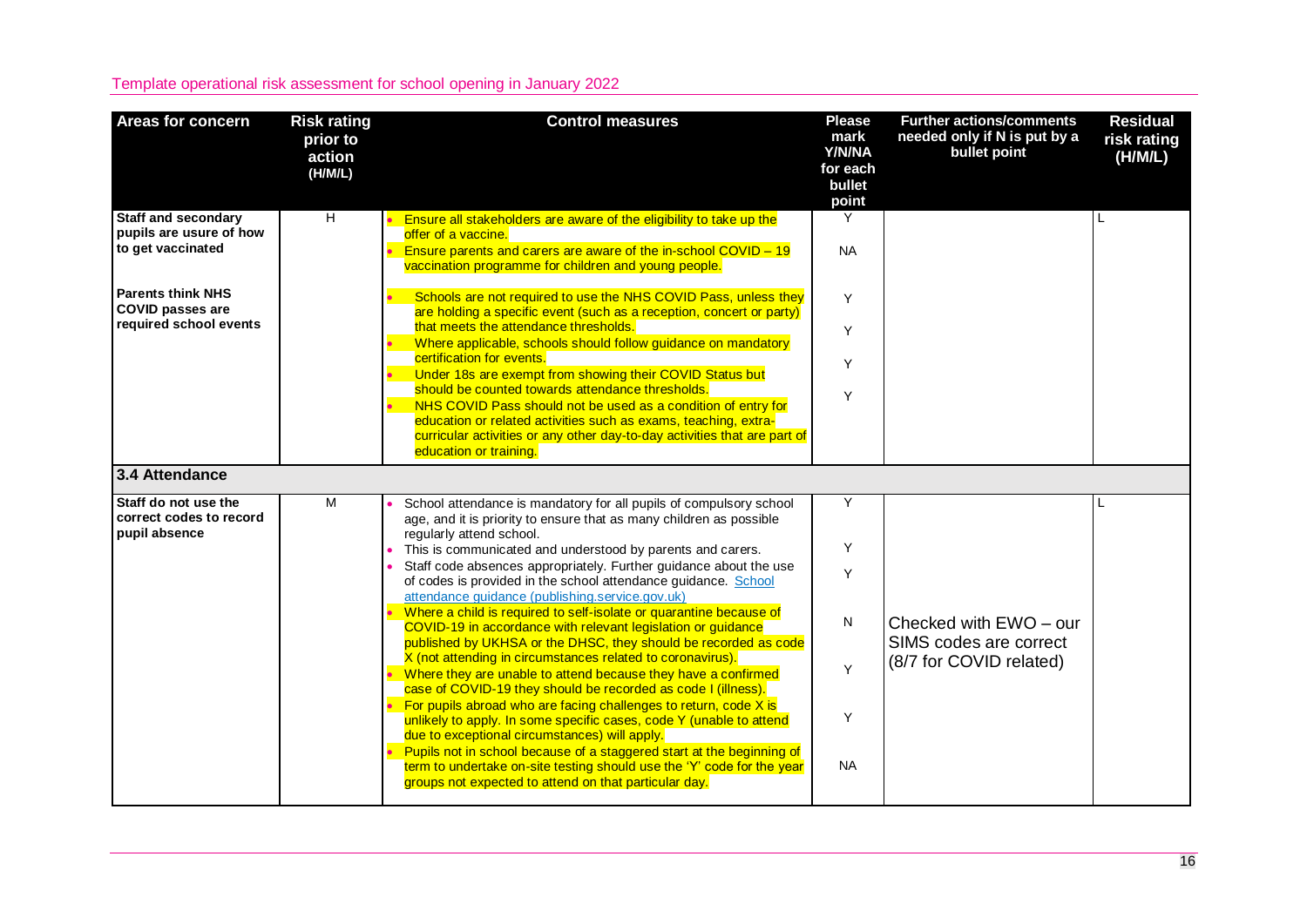| <b>Areas for concern</b>                                                                                                                                    | <b>Risk rating</b><br>prior to<br>action<br>(H/M/L) | <b>Control measures</b>                                                                                                                                                                                                                                                                                                                                                                                                                                                                                                                                                                                                                                                                                                                                                                                                                                                                                                                                                                                                                                                                                                                                                                                                                        | <b>Please</b><br>mark<br>Y/N/NA<br>for each<br>bullet<br>point | <b>Further actions/comments</b><br>needed only if N is put by a<br>bullet point | <b>Residual</b><br>risk rating<br>(H/M/L) |
|-------------------------------------------------------------------------------------------------------------------------------------------------------------|-----------------------------------------------------|------------------------------------------------------------------------------------------------------------------------------------------------------------------------------------------------------------------------------------------------------------------------------------------------------------------------------------------------------------------------------------------------------------------------------------------------------------------------------------------------------------------------------------------------------------------------------------------------------------------------------------------------------------------------------------------------------------------------------------------------------------------------------------------------------------------------------------------------------------------------------------------------------------------------------------------------------------------------------------------------------------------------------------------------------------------------------------------------------------------------------------------------------------------------------------------------------------------------------------------------|----------------------------------------------------------------|---------------------------------------------------------------------------------|-------------------------------------------|
| <b>Staff and secondary</b><br>pupils are usure of how<br>to get vaccinated<br><b>Parents think NHS</b><br><b>COVID passes are</b><br>required school events | $\overline{H}$                                      | Ensure all stakeholders are aware of the eligibility to take up the<br>offer of a vaccine.<br>Ensure parents and carers are aware of the in-school COVID - 19<br>vaccination programme for children and young people.<br>Schools are not required to use the NHS COVID Pass, unless they<br>are holding a specific event (such as a reception, concert or party)<br>that meets the attendance thresholds.<br>Where applicable, schools should follow guidance on mandatory<br>certification for events.<br>Under 18s are exempt from showing their COVID Status but<br>should be counted towards attendance thresholds.<br>NHS COVID Pass should not be used as a condition of entry for<br>education or related activities such as exams, teaching, extra-<br>curricular activities or any other day-to-day activities that are part of<br>education or training.                                                                                                                                                                                                                                                                                                                                                                             | Y<br><b>NA</b><br>Y<br>Y<br>Y<br>Y                             |                                                                                 | L                                         |
| 3.4 Attendance                                                                                                                                              |                                                     |                                                                                                                                                                                                                                                                                                                                                                                                                                                                                                                                                                                                                                                                                                                                                                                                                                                                                                                                                                                                                                                                                                                                                                                                                                                |                                                                |                                                                                 |                                           |
| Staff do not use the<br>correct codes to record<br>pupil absence                                                                                            | M                                                   | School attendance is mandatory for all pupils of compulsory school<br>age, and it is priority to ensure that as many children as possible<br>regularly attend school.<br>This is communicated and understood by parents and carers.<br>Staff code absences appropriately. Further guidance about the use<br>of codes is provided in the school attendance guidance. School<br>attendance guidance (publishing.service.gov.uk)<br>Where a child is required to self-isolate or quarantine because of<br>COVID-19 in accordance with relevant legislation or guidance<br>published by UKHSA or the DHSC, they should be recorded as code<br>X (not attending in circumstances related to coronavirus).<br>Where they are unable to attend because they have a confirmed<br>case of COVID-19 they should be recorded as code I (illness).<br>For pupils abroad who are facing challenges to return, code X is<br>unlikely to apply. In some specific cases, code Y (unable to attend<br>due to exceptional circumstances) will apply.<br>Pupils not in school because of a staggered start at the beginning of<br>term to undertake on-site testing should use the 'Y' code for the year<br>groups not expected to attend on that particular day. | Y<br>Y<br>Υ<br>N<br>Y<br>Y<br><b>NA</b>                        | Checked with EWO - our<br>SIMS codes are correct<br>(8/7 for COVID related)     |                                           |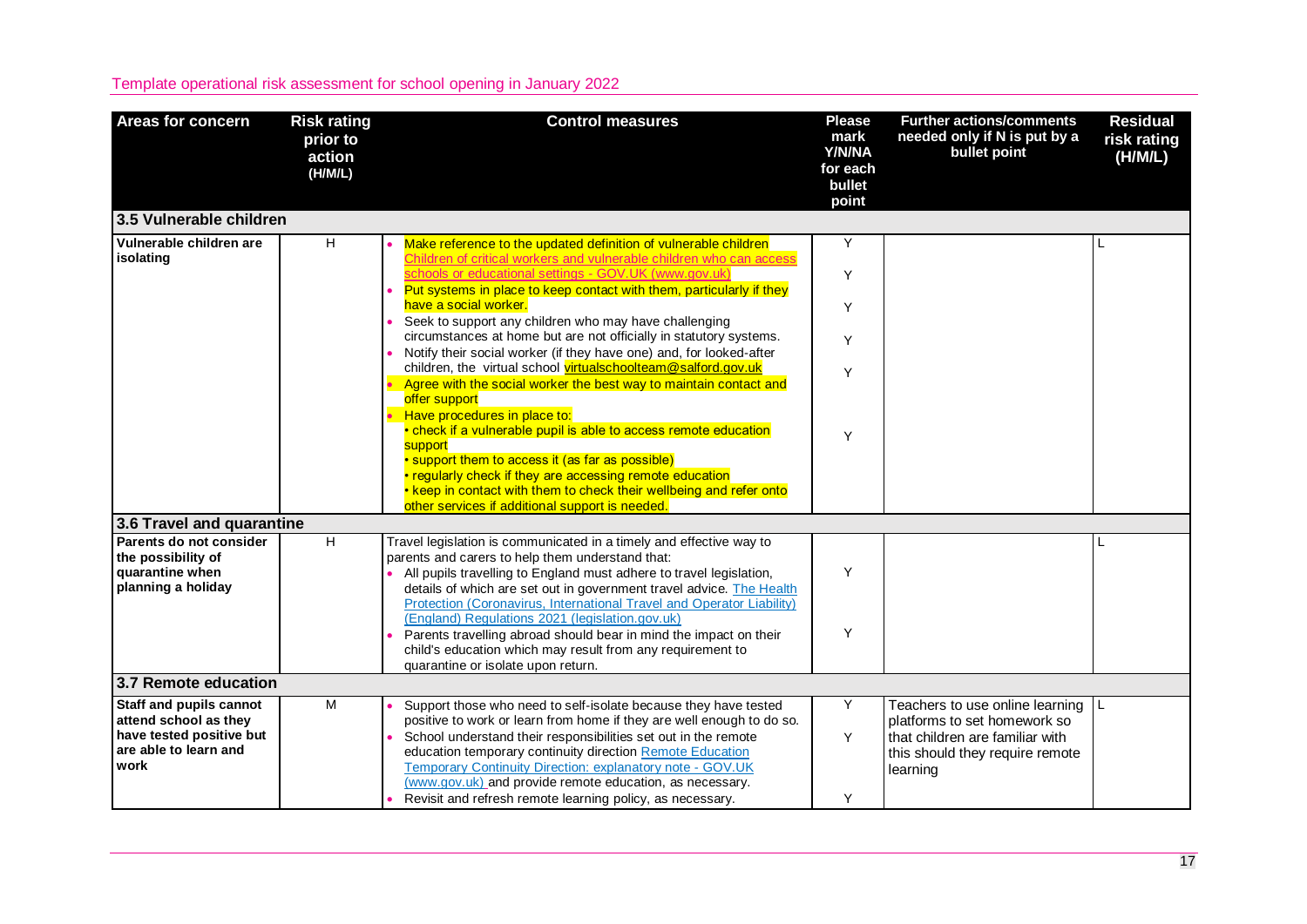| <b>Areas for concern</b>                          | <b>Risk rating</b><br>prior to<br>action<br>(H/M/L) | <b>Control measures</b>                                                                                                                | <b>Please</b><br>mark<br>Y/N/NA<br>for each<br>bullet<br>point | <b>Further actions/comments</b><br>needed only if N is put by a<br>bullet point | <b>Residual</b><br>risk rating<br>(H/M/L) |
|---------------------------------------------------|-----------------------------------------------------|----------------------------------------------------------------------------------------------------------------------------------------|----------------------------------------------------------------|---------------------------------------------------------------------------------|-------------------------------------------|
| 3.5 Vulnerable children                           |                                                     |                                                                                                                                        |                                                                |                                                                                 |                                           |
| Vulnerable children are<br>isolating              | H                                                   | Make reference to the updated definition of vulnerable children<br>Children of critical workers and vulnerable children who can access | Y                                                              |                                                                                 |                                           |
|                                                   |                                                     | schools or educational settings - GOV.UK (www.gov.uk)                                                                                  | Y                                                              |                                                                                 |                                           |
|                                                   |                                                     | Put systems in place to keep contact with them, particularly if they<br>have a social worker.                                          | Y                                                              |                                                                                 |                                           |
|                                                   |                                                     | Seek to support any children who may have challenging<br>circumstances at home but are not officially in statutory systems.            | Y                                                              |                                                                                 |                                           |
|                                                   |                                                     | Notify their social worker (if they have one) and, for looked-after<br>children, the virtual school virtualschoolteam@salford.gov.uk   | Y                                                              |                                                                                 |                                           |
|                                                   |                                                     | Agree with the social worker the best way to maintain contact and<br>offer support                                                     |                                                                |                                                                                 |                                           |
|                                                   |                                                     | Have procedures in place to:<br>• check if a vulnerable pupil is able to access remote education                                       | Y                                                              |                                                                                 |                                           |
|                                                   |                                                     | support<br>• support them to access it (as far as possible)                                                                            |                                                                |                                                                                 |                                           |
|                                                   |                                                     | • regularly check if they are accessing remote education<br>. keep in contact with them to check their wellbeing and refer onto        |                                                                |                                                                                 |                                           |
| 3.6 Travel and quarantine                         |                                                     | other services if additional support is needed.                                                                                        |                                                                |                                                                                 |                                           |
| Parents do not consider                           | $\overline{H}$                                      | Travel legislation is communicated in a timely and effective way to                                                                    |                                                                |                                                                                 |                                           |
| the possibility of                                |                                                     | parents and carers to help them understand that:                                                                                       |                                                                |                                                                                 |                                           |
| quarantine when                                   |                                                     | All pupils travelling to England must adhere to travel legislation,                                                                    | Y                                                              |                                                                                 |                                           |
| planning a holiday                                |                                                     | details of which are set out in government travel advice. The Health                                                                   |                                                                |                                                                                 |                                           |
|                                                   |                                                     | Protection (Coronavirus, International Travel and Operator Liability)                                                                  |                                                                |                                                                                 |                                           |
|                                                   |                                                     | (England) Regulations 2021 (legislation.gov.uk)                                                                                        |                                                                |                                                                                 |                                           |
|                                                   |                                                     | Parents travelling abroad should bear in mind the impact on their                                                                      | Y                                                              |                                                                                 |                                           |
|                                                   |                                                     | child's education which may result from any requirement to<br>quarantine or isolate upon return.                                       |                                                                |                                                                                 |                                           |
| 3.7 Remote education                              |                                                     |                                                                                                                                        |                                                                |                                                                                 |                                           |
|                                                   |                                                     |                                                                                                                                        |                                                                |                                                                                 |                                           |
| Staff and pupils cannot                           | M                                                   | Support those who need to self-isolate because they have tested                                                                        | Y                                                              | Teachers to use online learning                                                 |                                           |
| attend school as they<br>have tested positive but |                                                     | positive to work or learn from home if they are well enough to do so.                                                                  |                                                                | platforms to set homework so                                                    |                                           |
| are able to learn and                             |                                                     | School understand their responsibilities set out in the remote<br>education temporary continuity direction Remote Education            | Y                                                              | that children are familiar with                                                 |                                           |
| work                                              |                                                     | Temporary Continuity Direction: explanatory note - GOV.UK                                                                              |                                                                | this should they require remote<br>learning                                     |                                           |
|                                                   |                                                     | (www.gov.uk) and provide remote education, as necessary.<br>Revisit and refresh remote learning policy, as necessary.                  | Y                                                              |                                                                                 |                                           |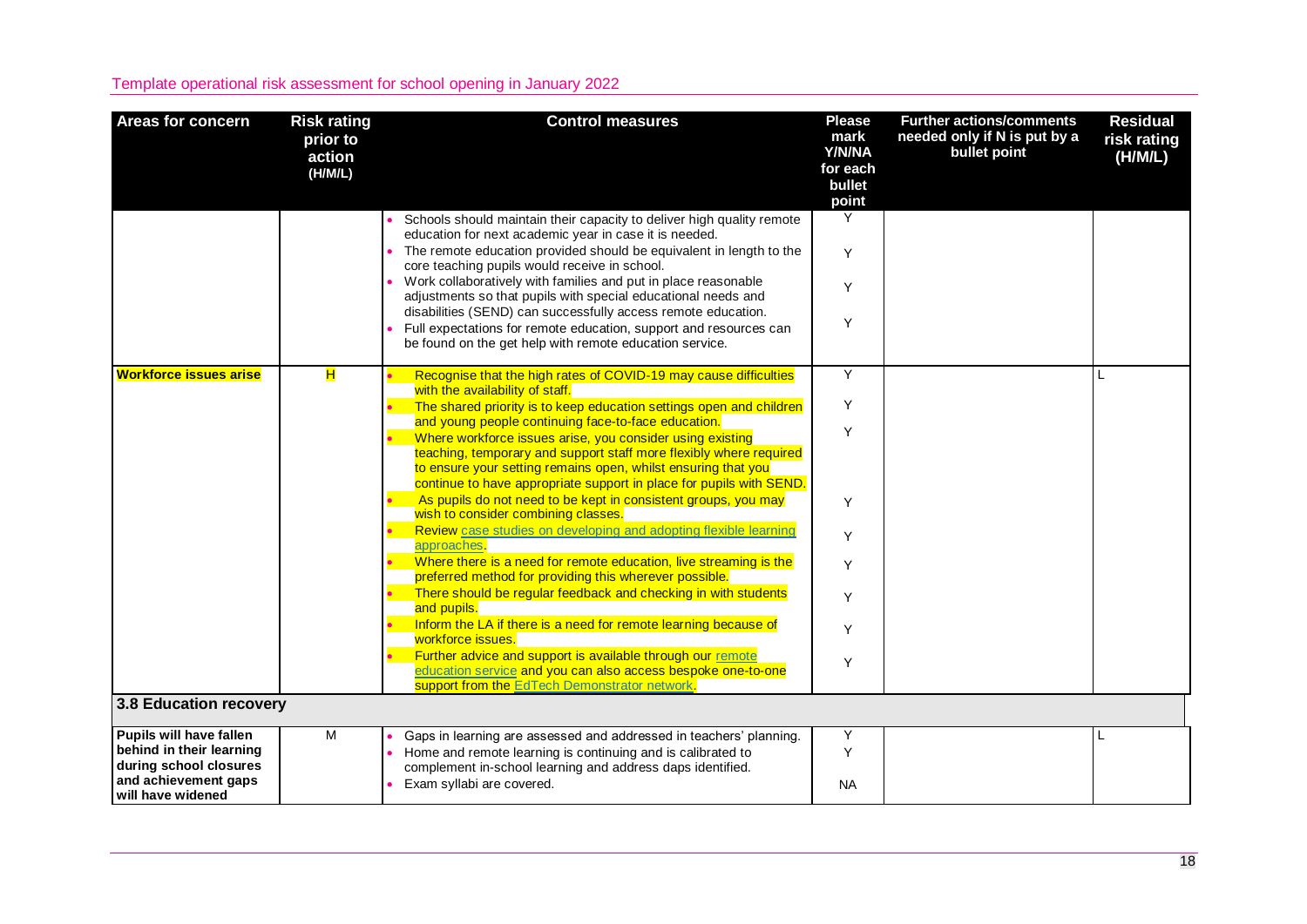| <b>Areas for concern</b>                                                                                                   | <b>Risk rating</b><br>prior to<br>action<br>(H/M/L) | <b>Control measures</b>                                                                                                                                                                                                                                                                                                                                                                                                                                                                                                                                                                                                                                                                                                                                                                                                                                                                                                                                                                                                                                                                                                                        | <b>Please</b><br>mark<br>Y/N/NA<br>for each<br>bullet<br>point | <b>Further actions/comments</b><br>needed only if N is put by a<br>bullet point | <b>Residual</b><br>risk rating<br>(H/M/L) |
|----------------------------------------------------------------------------------------------------------------------------|-----------------------------------------------------|------------------------------------------------------------------------------------------------------------------------------------------------------------------------------------------------------------------------------------------------------------------------------------------------------------------------------------------------------------------------------------------------------------------------------------------------------------------------------------------------------------------------------------------------------------------------------------------------------------------------------------------------------------------------------------------------------------------------------------------------------------------------------------------------------------------------------------------------------------------------------------------------------------------------------------------------------------------------------------------------------------------------------------------------------------------------------------------------------------------------------------------------|----------------------------------------------------------------|---------------------------------------------------------------------------------|-------------------------------------------|
|                                                                                                                            |                                                     | Schools should maintain their capacity to deliver high quality remote<br>education for next academic year in case it is needed.<br>• The remote education provided should be equivalent in length to the<br>core teaching pupils would receive in school.<br>Work collaboratively with families and put in place reasonable<br>adjustments so that pupils with special educational needs and<br>disabilities (SEND) can successfully access remote education.<br>Full expectations for remote education, support and resources can<br>be found on the get help with remote education service.                                                                                                                                                                                                                                                                                                                                                                                                                                                                                                                                                  | Y<br>Y<br>Y<br>Y                                               |                                                                                 |                                           |
| <b>Workforce issues arise</b>                                                                                              | н                                                   | Recognise that the high rates of COVID-19 may cause difficulties<br>with the availability of staff.<br>The shared priority is to keep education settings open and children<br>and young people continuing face-to-face education.<br>Where workforce issues arise, you consider using existing<br>teaching, temporary and support staff more flexibly where required<br>to ensure your setting remains open, whilst ensuring that you<br>continue to have appropriate support in place for pupils with SEND.<br>As pupils do not need to be kept in consistent groups, you may<br>wish to consider combining classes.<br>Review case studies on developing and adopting flexible learning<br>approaches.<br>Where there is a need for remote education, live streaming is the<br>preferred method for providing this wherever possible.<br>There should be regular feedback and checking in with students<br>and pupils.<br>Inform the LA if there is a need for remote learning because of<br>workforce issues.<br>Further advice and support is available through our remote<br>education service and you can also access bespoke one-to-one | Y<br>Y<br>Y<br>Y<br>Y<br>Y<br>Y<br>Y<br>Y                      |                                                                                 |                                           |
| 3.8 Education recovery                                                                                                     |                                                     | support from the EdTech Demonstrator network.                                                                                                                                                                                                                                                                                                                                                                                                                                                                                                                                                                                                                                                                                                                                                                                                                                                                                                                                                                                                                                                                                                  |                                                                |                                                                                 |                                           |
| Pupils will have fallen<br>behind in their learning<br>during school closures<br>and achievement gaps<br>will have widened | M                                                   | Gaps in learning are assessed and addressed in teachers' planning.<br>Home and remote learning is continuing and is calibrated to<br>complement in-school learning and address daps identified.<br>Exam syllabi are covered.                                                                                                                                                                                                                                                                                                                                                                                                                                                                                                                                                                                                                                                                                                                                                                                                                                                                                                                   | Y<br>Y<br><b>NA</b>                                            |                                                                                 |                                           |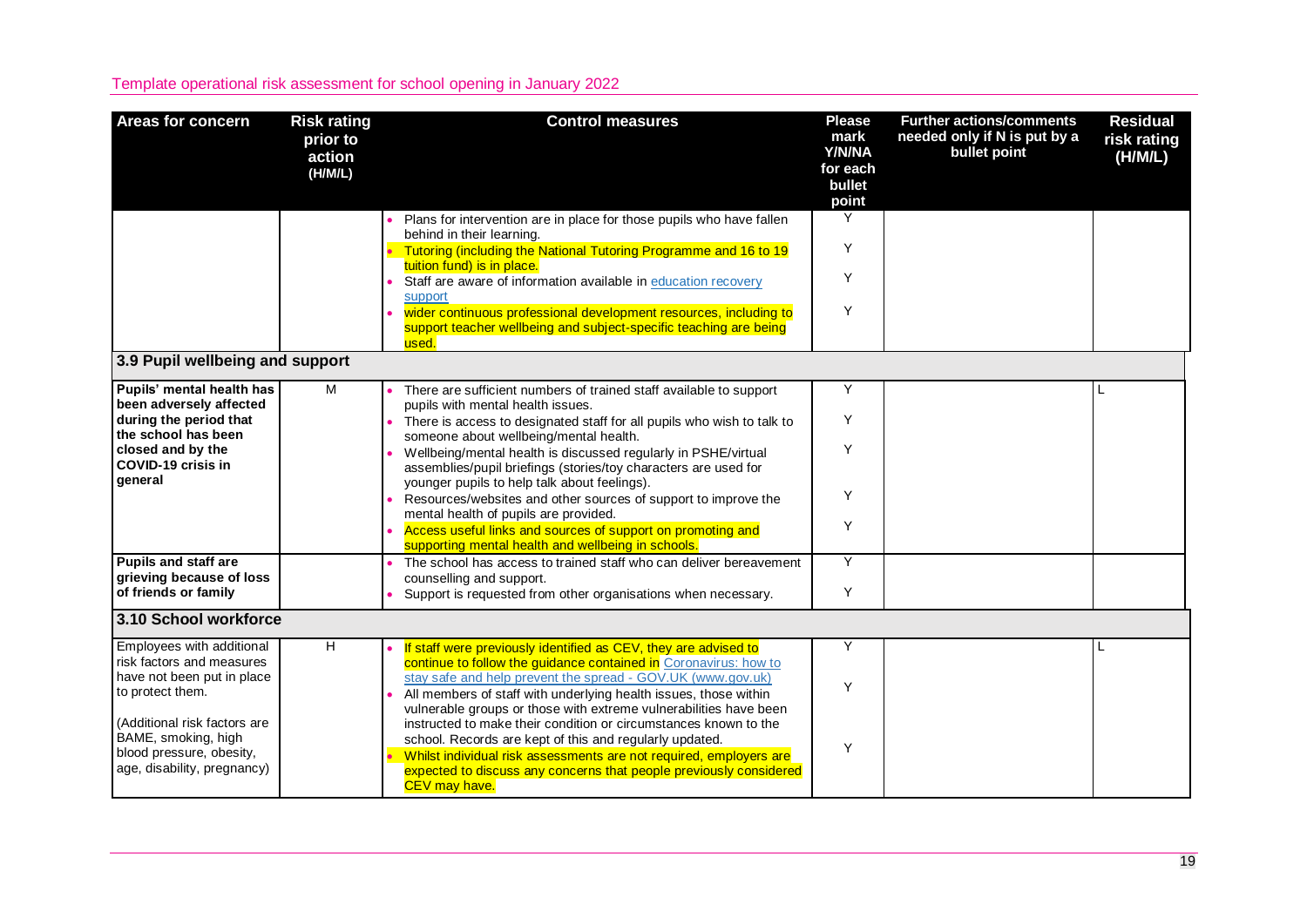| <b>Areas for concern</b>                                | <b>Risk rating</b><br>prior to<br>action<br>(H/M/L) | <b>Control measures</b>                                                                                                                                                                              | <b>Please</b><br>mark<br>Y/N/NA<br>for each<br>bullet<br>point | <b>Further actions/comments</b><br>needed only if N is put by a<br>bullet point | <b>Residual</b><br>risk rating<br>(H/M/L) |
|---------------------------------------------------------|-----------------------------------------------------|------------------------------------------------------------------------------------------------------------------------------------------------------------------------------------------------------|----------------------------------------------------------------|---------------------------------------------------------------------------------|-------------------------------------------|
|                                                         |                                                     | Plans for intervention are in place for those pupils who have fallen<br>behind in their learning.                                                                                                    | Y                                                              |                                                                                 |                                           |
|                                                         |                                                     | Tutoring (including the National Tutoring Programme and 16 to 19<br>tuition fund) is in place.                                                                                                       | Y                                                              |                                                                                 |                                           |
|                                                         |                                                     | Staff are aware of information available in education recovery<br>support                                                                                                                            | Y                                                              |                                                                                 |                                           |
|                                                         |                                                     | wider continuous professional development resources, including to<br>support teacher wellbeing and subject-specific teaching are being<br>used.                                                      | Y                                                              |                                                                                 |                                           |
| 3.9 Pupil wellbeing and support                         |                                                     |                                                                                                                                                                                                      |                                                                |                                                                                 |                                           |
| Pupils' mental health has<br>been adversely affected    | М                                                   | There are sufficient numbers of trained staff available to support<br>pupils with mental health issues.                                                                                              | Y                                                              |                                                                                 |                                           |
| during the period that<br>the school has been           |                                                     | There is access to designated staff for all pupils who wish to talk to<br>someone about wellbeing/mental health.                                                                                     | Y                                                              |                                                                                 |                                           |
| closed and by the<br>COVID-19 crisis in                 |                                                     | Wellbeing/mental health is discussed regularly in PSHE/virtual<br>assemblies/pupil briefings (stories/toy characters are used for                                                                    | Y                                                              |                                                                                 |                                           |
| general                                                 |                                                     | younger pupils to help talk about feelings).<br>Resources/websites and other sources of support to improve the<br>mental health of pupils are provided.                                              | Y                                                              |                                                                                 |                                           |
|                                                         |                                                     | Access useful links and sources of support on promoting and<br>supporting mental health and wellbeing in schools.                                                                                    | Y                                                              |                                                                                 |                                           |
| <b>Pupils and staff are</b><br>grieving because of loss |                                                     | The school has access to trained staff who can deliver bereavement<br>counselling and support.                                                                                                       | Y                                                              |                                                                                 |                                           |
| of friends or family                                    |                                                     | Support is requested from other organisations when necessary.                                                                                                                                        | Y                                                              |                                                                                 |                                           |
| 3.10 School workforce                                   |                                                     |                                                                                                                                                                                                      |                                                                |                                                                                 |                                           |
| Employees with additional<br>risk factors and measures  | H                                                   | If staff were previously identified as CEV, they are advised to<br>continue to follow the guidance contained in Coronavirus: how to                                                                  | Y                                                              |                                                                                 |                                           |
| have not been put in place<br>to protect them.          |                                                     | stay safe and help prevent the spread - GOV.UK (www.gov.uk)<br>All members of staff with underlying health issues, those within<br>vulnerable groups or those with extreme vulnerabilities have been | Y                                                              |                                                                                 |                                           |
| (Additional risk factors are<br>BAME, smoking, high     |                                                     | instructed to make their condition or circumstances known to the<br>school. Records are kept of this and regularly updated.                                                                          | Y                                                              |                                                                                 |                                           |
| blood pressure, obesity,<br>age, disability, pregnancy) |                                                     | Whilst individual risk assessments are not required, employers are<br>expected to discuss any concerns that people previously considered<br>CEV may have.                                            |                                                                |                                                                                 |                                           |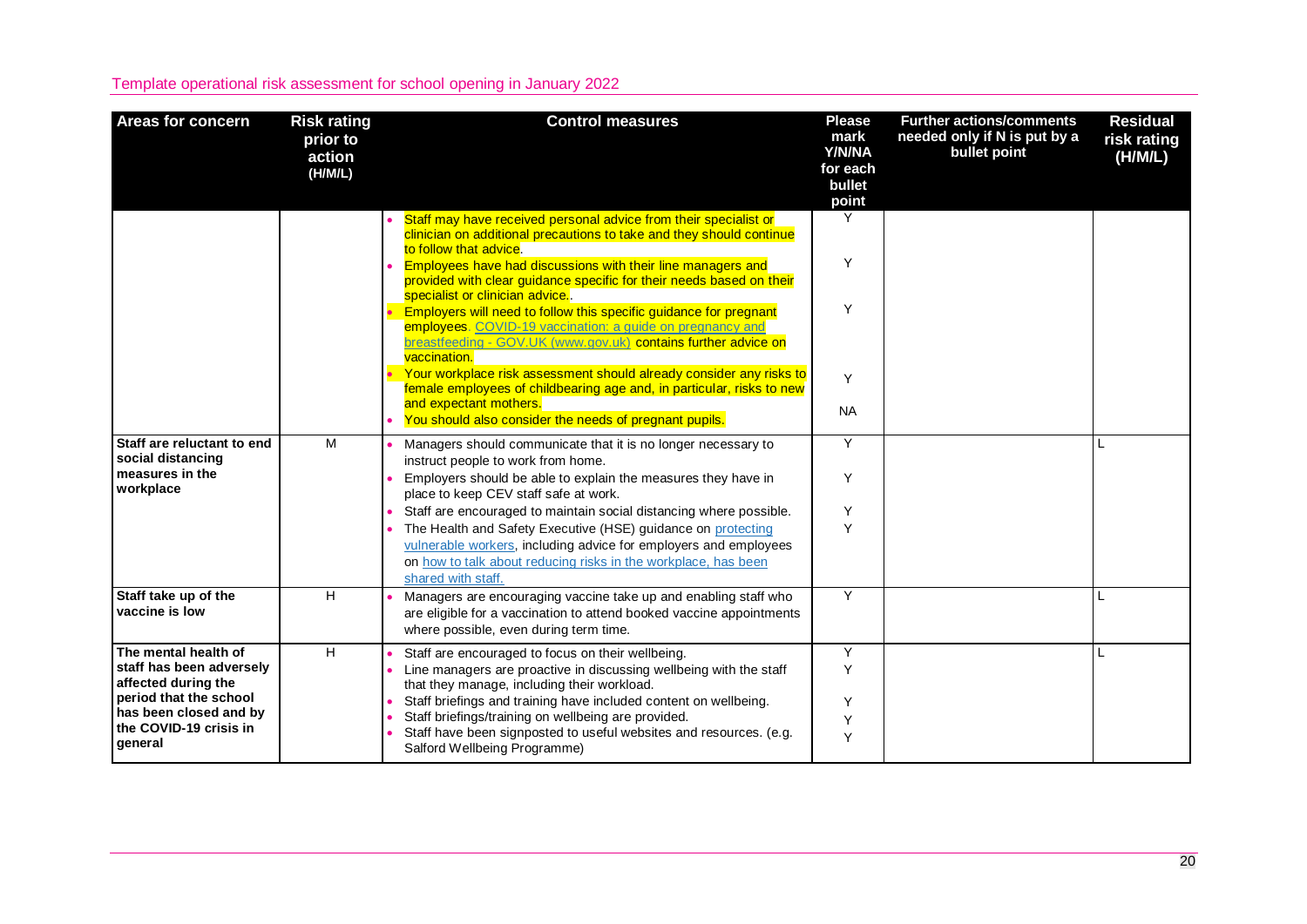| <b>Areas for concern</b>                                                              | <b>Risk rating</b><br>prior to<br>action<br>(H/M/L) | <b>Control measures</b>                                                                                                                                                                                                       | <b>Please</b><br>mark<br>Y/N/NA<br>for each<br>bullet<br>point | <b>Further actions/comments</b><br>needed only if N is put by a<br>bullet point | <b>Residual</b><br>risk rating<br>(H/M/L) |
|---------------------------------------------------------------------------------------|-----------------------------------------------------|-------------------------------------------------------------------------------------------------------------------------------------------------------------------------------------------------------------------------------|----------------------------------------------------------------|---------------------------------------------------------------------------------|-------------------------------------------|
|                                                                                       |                                                     | Staff may have received personal advice from their specialist or<br>clinician on additional precautions to take and they should continue<br>to follow that advice.                                                            | Y                                                              |                                                                                 |                                           |
|                                                                                       |                                                     | Employees have had discussions with their line managers and<br>provided with clear guidance specific for their needs based on their<br>specialist or clinician advice.                                                        | Y                                                              |                                                                                 |                                           |
|                                                                                       |                                                     | Employers will need to follow this specific guidance for pregnant<br>employees. COVID-19 vaccination: a guide on pregnancy and<br>breastfeeding - GOV.UK (www.gov.uk) contains further advice on<br>vaccination.              | Y                                                              |                                                                                 |                                           |
|                                                                                       |                                                     | Your workplace risk assessment should already consider any risks to<br>female employees of childbearing age and, in particular, risks to new                                                                                  | Y                                                              |                                                                                 |                                           |
|                                                                                       |                                                     | and expectant mothers.<br>You should also consider the needs of pregnant pupils.                                                                                                                                              | <b>NA</b>                                                      |                                                                                 |                                           |
| Staff are reluctant to end<br>social distancing                                       | M                                                   | Managers should communicate that it is no longer necessary to<br>instruct people to work from home.                                                                                                                           | Y                                                              |                                                                                 |                                           |
| measures in the<br>workplace                                                          |                                                     | Employers should be able to explain the measures they have in<br>place to keep CEV staff safe at work.                                                                                                                        | Y                                                              |                                                                                 |                                           |
|                                                                                       |                                                     | Staff are encouraged to maintain social distancing where possible.                                                                                                                                                            | Υ                                                              |                                                                                 |                                           |
|                                                                                       |                                                     | The Health and Safety Executive (HSE) guidance on protecting<br>vulnerable workers, including advice for employers and employees<br>on how to talk about reducing risks in the workplace, has been<br>shared with staff.      | Y                                                              |                                                                                 |                                           |
| Staff take up of the<br>vaccine is low                                                | H                                                   | Managers are encouraging vaccine take up and enabling staff who<br>are eligible for a vaccination to attend booked vaccine appointments<br>where possible, even during term time.                                             | Y                                                              |                                                                                 |                                           |
| The mental health of<br>staff has been adversely<br>affected during the               | H                                                   | Staff are encouraged to focus on their wellbeing.<br>Line managers are proactive in discussing wellbeing with the staff<br>that they manage, including their workload.                                                        | Y<br>Y                                                         |                                                                                 |                                           |
| period that the school<br>has been closed and by<br>the COVID-19 crisis in<br>general |                                                     | Staff briefings and training have included content on wellbeing.<br>Staff briefings/training on wellbeing are provided.<br>Staff have been signposted to useful websites and resources. (e.g.<br>Salford Wellbeing Programme) | Υ<br>Y<br>Y                                                    |                                                                                 |                                           |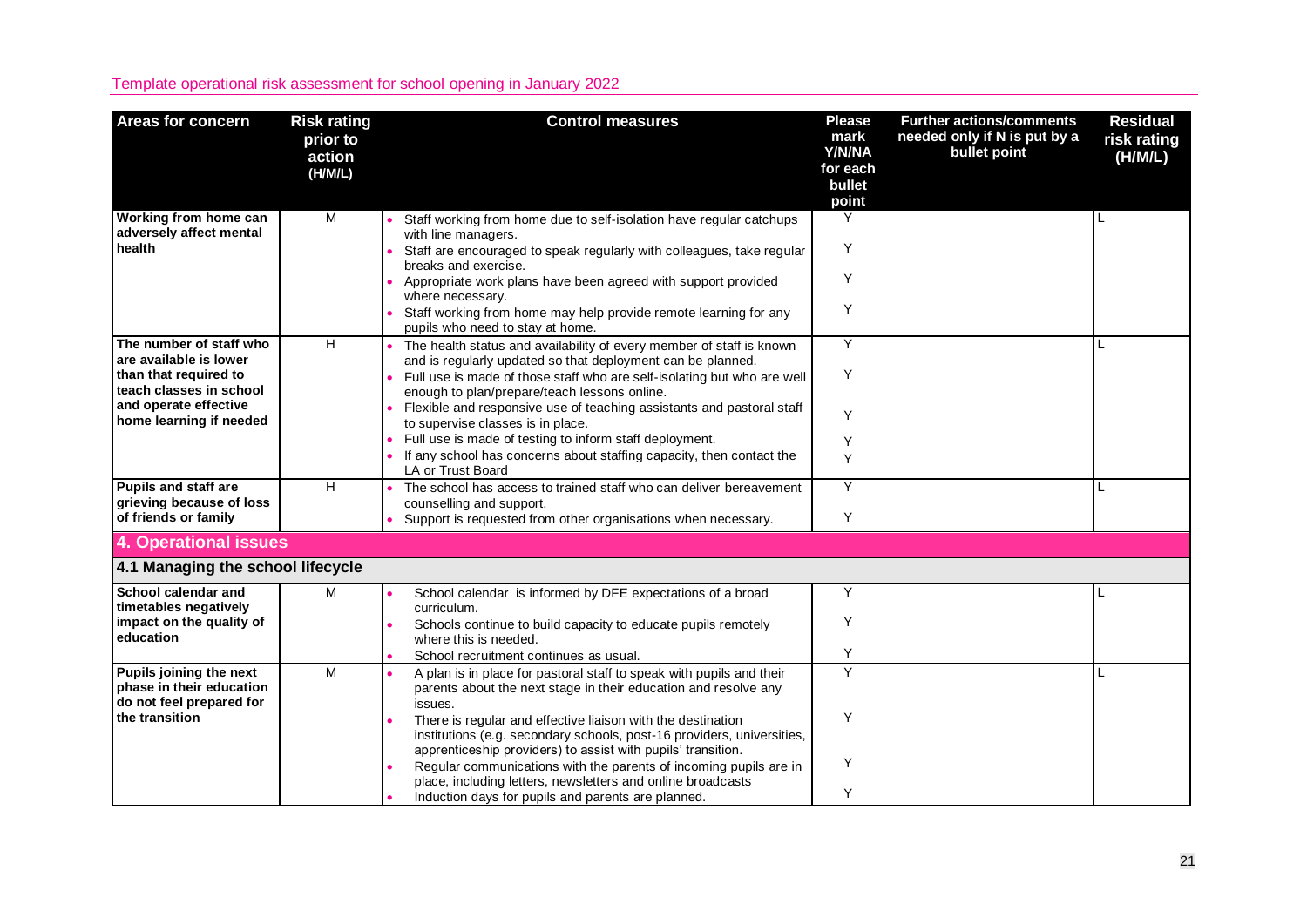| <b>Areas for concern</b>                                                                          | <b>Risk rating</b><br>prior to<br>action<br>(H/M/L) | <b>Control measures</b>                                                                                                                                                                               | <b>Please</b><br>mark<br>Y/N/NA<br>for each<br>bullet<br>point | <b>Further actions/comments</b><br>needed only if N is put by a<br>bullet point | <b>Residual</b><br>risk rating<br>(H/M/L) |
|---------------------------------------------------------------------------------------------------|-----------------------------------------------------|-------------------------------------------------------------------------------------------------------------------------------------------------------------------------------------------------------|----------------------------------------------------------------|---------------------------------------------------------------------------------|-------------------------------------------|
| Working from home can<br>adversely affect mental<br>health                                        | M                                                   | Staff working from home due to self-isolation have regular catchups<br>with line managers.                                                                                                            | Y<br>Υ                                                         |                                                                                 |                                           |
|                                                                                                   |                                                     | Staff are encouraged to speak regularly with colleagues, take regular<br>breaks and exercise.<br>Appropriate work plans have been agreed with support provided                                        | Y                                                              |                                                                                 |                                           |
|                                                                                                   |                                                     | where necessary.<br>Staff working from home may help provide remote learning for any<br>pupils who need to stay at home.                                                                              | Y                                                              |                                                                                 |                                           |
| The number of staff who                                                                           | H                                                   | The health status and availability of every member of staff is known                                                                                                                                  | Y                                                              |                                                                                 |                                           |
| are available is lower<br>than that required to<br>teach classes in school                        |                                                     | and is regularly updated so that deployment can be planned.<br>Full use is made of those staff who are self-isolating but who are well<br>enough to plan/prepare/teach lessons online.                | Y                                                              |                                                                                 |                                           |
| and operate effective<br>home learning if needed                                                  |                                                     | Flexible and responsive use of teaching assistants and pastoral staff<br>to supervise classes is in place.                                                                                            | Y                                                              |                                                                                 |                                           |
|                                                                                                   |                                                     | Full use is made of testing to inform staff deployment.<br>If any school has concerns about staffing capacity, then contact the<br><b>LA or Trust Board</b>                                           | Υ<br>Y                                                         |                                                                                 |                                           |
| <b>Pupils and staff are</b><br>grieving because of loss<br>of friends or family                   | H.                                                  | The school has access to trained staff who can deliver bereavement<br>counselling and support.<br>Support is requested from other organisations when necessary.                                       | Y<br>Y                                                         |                                                                                 |                                           |
| <b>4. Operational issues</b>                                                                      |                                                     |                                                                                                                                                                                                       |                                                                |                                                                                 |                                           |
|                                                                                                   |                                                     |                                                                                                                                                                                                       |                                                                |                                                                                 |                                           |
| 4.1 Managing the school lifecycle                                                                 |                                                     |                                                                                                                                                                                                       |                                                                |                                                                                 |                                           |
| School calendar and<br>timetables negatively                                                      | M                                                   | School calendar is informed by DFE expectations of a broad<br>curriculum.                                                                                                                             | Y                                                              |                                                                                 |                                           |
| impact on the quality of<br>education                                                             |                                                     | Schools continue to build capacity to educate pupils remotely<br>where this is needed.                                                                                                                | Y                                                              |                                                                                 |                                           |
|                                                                                                   |                                                     | School recruitment continues as usual.                                                                                                                                                                | Y                                                              |                                                                                 |                                           |
| Pupils joining the next<br>phase in their education<br>do not feel prepared for<br>the transition | M                                                   | A plan is in place for pastoral staff to speak with pupils and their<br>parents about the next stage in their education and resolve any<br>issues.                                                    | $\overline{Y}$                                                 |                                                                                 |                                           |
|                                                                                                   |                                                     | There is regular and effective liaison with the destination<br>institutions (e.g. secondary schools, post-16 providers, universities,<br>apprenticeship providers) to assist with pupils' transition. | Y                                                              |                                                                                 |                                           |
|                                                                                                   |                                                     | Regular communications with the parents of incoming pupils are in<br>place, including letters, newsletters and online broadcasts                                                                      | Y                                                              |                                                                                 |                                           |
|                                                                                                   |                                                     | Induction days for pupils and parents are planned.                                                                                                                                                    | Y                                                              |                                                                                 |                                           |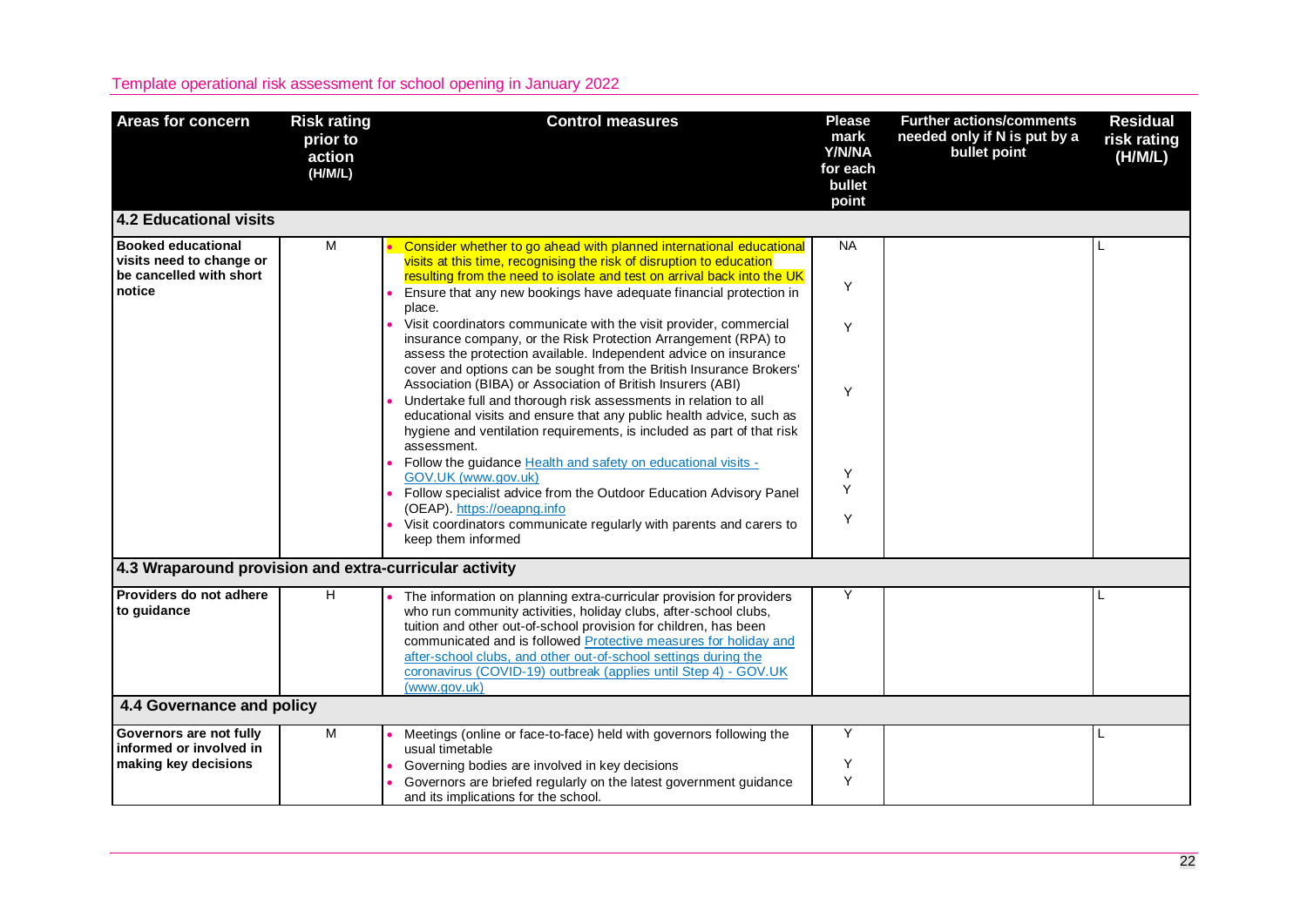| <b>Areas for concern</b>                                                         | <b>Risk rating</b><br>prior to<br>action<br>(H/M/L) | <b>Control measures</b>                                                                                                                                                                                                                                                                                                                                                                                                                | <b>Please</b><br>mark<br>Y/N/NA<br>for each<br>bullet<br>point | <b>Further actions/comments</b><br>needed only if N is put by a<br>bullet point | <b>Residual</b><br>risk rating<br>(H/M/L) |
|----------------------------------------------------------------------------------|-----------------------------------------------------|----------------------------------------------------------------------------------------------------------------------------------------------------------------------------------------------------------------------------------------------------------------------------------------------------------------------------------------------------------------------------------------------------------------------------------------|----------------------------------------------------------------|---------------------------------------------------------------------------------|-------------------------------------------|
| <b>4.2 Educational visits</b>                                                    |                                                     |                                                                                                                                                                                                                                                                                                                                                                                                                                        |                                                                |                                                                                 |                                           |
| <b>Booked educational</b><br>visits need to change or<br>be cancelled with short | M                                                   | Consider whether to go ahead with planned international educational<br>visits at this time, recognising the risk of disruption to education<br>resulting from the need to isolate and test on arrival back into the UK                                                                                                                                                                                                                 | <b>NA</b>                                                      |                                                                                 |                                           |
| notice                                                                           |                                                     | Ensure that any new bookings have adequate financial protection in<br>place.                                                                                                                                                                                                                                                                                                                                                           | Y                                                              |                                                                                 |                                           |
|                                                                                  |                                                     | Visit coordinators communicate with the visit provider, commercial<br>insurance company, or the Risk Protection Arrangement (RPA) to<br>assess the protection available. Independent advice on insurance<br>cover and options can be sought from the British Insurance Brokers'                                                                                                                                                        | Y                                                              |                                                                                 |                                           |
|                                                                                  |                                                     | Association (BIBA) or Association of British Insurers (ABI)<br>Undertake full and thorough risk assessments in relation to all<br>educational visits and ensure that any public health advice, such as<br>hygiene and ventilation requirements, is included as part of that risk<br>assessment.                                                                                                                                        | Y                                                              |                                                                                 |                                           |
|                                                                                  |                                                     | Follow the guidance Health and safety on educational visits -<br>GOV.UK (www.gov.uk)<br>Follow specialist advice from the Outdoor Education Advisory Panel<br>(OEAP). https://oeapng.info<br>Visit coordinators communicate regularly with parents and carers to                                                                                                                                                                       | Y<br>Y<br>Y                                                    |                                                                                 |                                           |
|                                                                                  |                                                     | keep them informed                                                                                                                                                                                                                                                                                                                                                                                                                     |                                                                |                                                                                 |                                           |
| 4.3 Wraparound provision and extra-curricular activity                           |                                                     |                                                                                                                                                                                                                                                                                                                                                                                                                                        |                                                                |                                                                                 |                                           |
| Providers do not adhere<br>to guidance                                           | H                                                   | The information on planning extra-curricular provision for providers<br>who run community activities, holiday clubs, after-school clubs,<br>tuition and other out-of-school provision for children, has been<br>communicated and is followed Protective measures for holiday and<br>after-school clubs, and other out-of-school settings during the<br>coronavirus (COVID-19) outbreak (applies until Step 4) - GOV.UK<br>(www.gov.uk) | Y                                                              |                                                                                 |                                           |
| 4.4 Governance and policy                                                        |                                                     |                                                                                                                                                                                                                                                                                                                                                                                                                                        |                                                                |                                                                                 |                                           |
| Governors are not fully<br>informed or involved in<br>making key decisions       | $\overline{M}$                                      | Meetings (online or face-to-face) held with governors following the<br>usual timetable<br>Governing bodies are involved in key decisions<br>Governors are briefed regularly on the latest government guidance                                                                                                                                                                                                                          | Y<br>Y<br>Y                                                    |                                                                                 |                                           |
|                                                                                  |                                                     | and its implications for the school.                                                                                                                                                                                                                                                                                                                                                                                                   |                                                                |                                                                                 |                                           |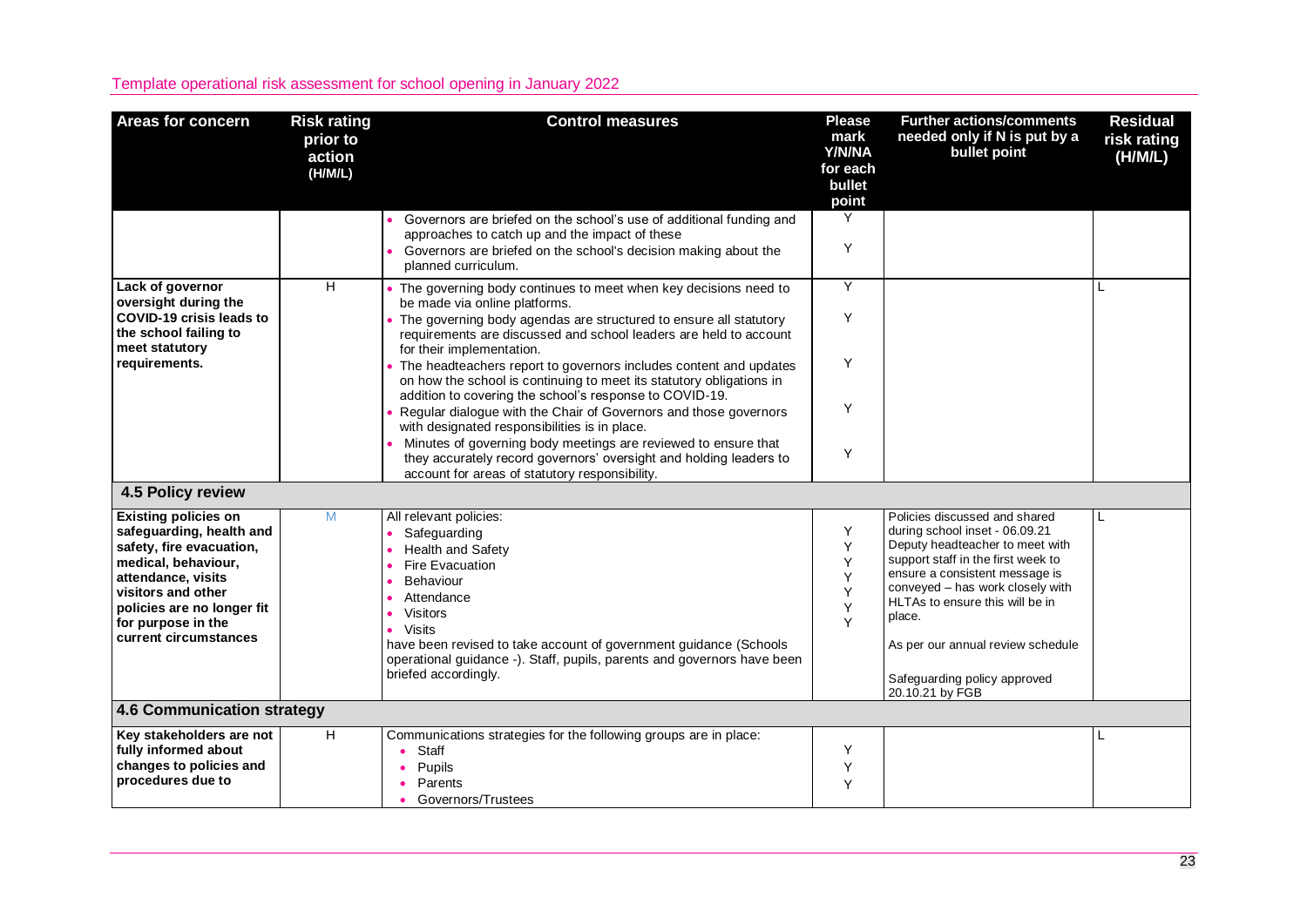| Areas for concern                                                                                                                                                                                                                   | <b>Risk rating</b><br>prior to<br>action<br>(H/M/L) | <b>Control measures</b>                                                                                                                                                                                                                                                                                                   | <b>Please</b><br>mark<br>Y/N/NA<br>for each<br>bullet<br>point | <b>Further actions/comments</b><br>needed only if N is put by a<br>bullet point                                                                                                                                                                                                                                                                     | <b>Residual</b><br>risk rating<br>(H/M/L) |
|-------------------------------------------------------------------------------------------------------------------------------------------------------------------------------------------------------------------------------------|-----------------------------------------------------|---------------------------------------------------------------------------------------------------------------------------------------------------------------------------------------------------------------------------------------------------------------------------------------------------------------------------|----------------------------------------------------------------|-----------------------------------------------------------------------------------------------------------------------------------------------------------------------------------------------------------------------------------------------------------------------------------------------------------------------------------------------------|-------------------------------------------|
|                                                                                                                                                                                                                                     |                                                     | Governors are briefed on the school's use of additional funding and<br>approaches to catch up and the impact of these<br>Governors are briefed on the school's decision making about the<br>planned curriculum.                                                                                                           | Y<br>Y                                                         |                                                                                                                                                                                                                                                                                                                                                     |                                           |
| Lack of governor<br>oversight during the<br><b>COVID-19 crisis leads to</b><br>the school failing to<br>meet statutory                                                                                                              | H                                                   | • The governing body continues to meet when key decisions need to<br>be made via online platforms.<br>The governing body agendas are structured to ensure all statutory<br>requirements are discussed and school leaders are held to account<br>for their implementation.                                                 | Y<br>Y                                                         |                                                                                                                                                                                                                                                                                                                                                     | L                                         |
| requirements.                                                                                                                                                                                                                       |                                                     | The headteachers report to governors includes content and updates<br>on how the school is continuing to meet its statutory obligations in<br>addition to covering the school's response to COVID-19.<br>Regular dialogue with the Chair of Governors and those governors<br>with designated responsibilities is in place. | Y<br>Y                                                         |                                                                                                                                                                                                                                                                                                                                                     |                                           |
|                                                                                                                                                                                                                                     |                                                     | Minutes of governing body meetings are reviewed to ensure that<br>they accurately record governors' oversight and holding leaders to<br>account for areas of statutory responsibility.                                                                                                                                    | Y                                                              |                                                                                                                                                                                                                                                                                                                                                     |                                           |
| 4.5 Policy review                                                                                                                                                                                                                   |                                                     |                                                                                                                                                                                                                                                                                                                           |                                                                |                                                                                                                                                                                                                                                                                                                                                     |                                           |
| <b>Existing policies on</b><br>safeguarding, health and<br>safety, fire evacuation,<br>medical, behaviour,<br>attendance, visits<br>visitors and other<br>policies are no longer fit<br>for purpose in the<br>current circumstances | M                                                   | All relevant policies:<br>• Safeguarding<br>Health and Safety<br>Fire Evacuation<br>Behaviour<br>Attendance<br>Visitors<br>Visits<br>$\bullet$<br>have been revised to take account of government guidance (Schools<br>operational guidance -). Staff, pupils, parents and governors have been<br>briefed accordingly.    | Y<br>Y<br>Y<br>Y<br>Y<br>Y<br>Y                                | Policies discussed and shared<br>during school inset - 06.09.21<br>Deputy headteacher to meet with<br>support staff in the first week to<br>ensure a consistent message is<br>conveyed - has work closely with<br>HLTAs to ensure this will be in<br>place.<br>As per our annual review schedule<br>Safeguarding policy approved<br>20.10.21 by FGB |                                           |
| 4.6 Communication strategy                                                                                                                                                                                                          |                                                     |                                                                                                                                                                                                                                                                                                                           |                                                                |                                                                                                                                                                                                                                                                                                                                                     |                                           |
| Key stakeholders are not<br>fully informed about<br>changes to policies and<br>procedures due to                                                                                                                                    | H.                                                  | Communications strategies for the following groups are in place:<br>Staff<br>$\bullet$<br>Pupils<br>Parents<br>Governors/Trustees                                                                                                                                                                                         | Y<br>Y<br>Y                                                    |                                                                                                                                                                                                                                                                                                                                                     | L                                         |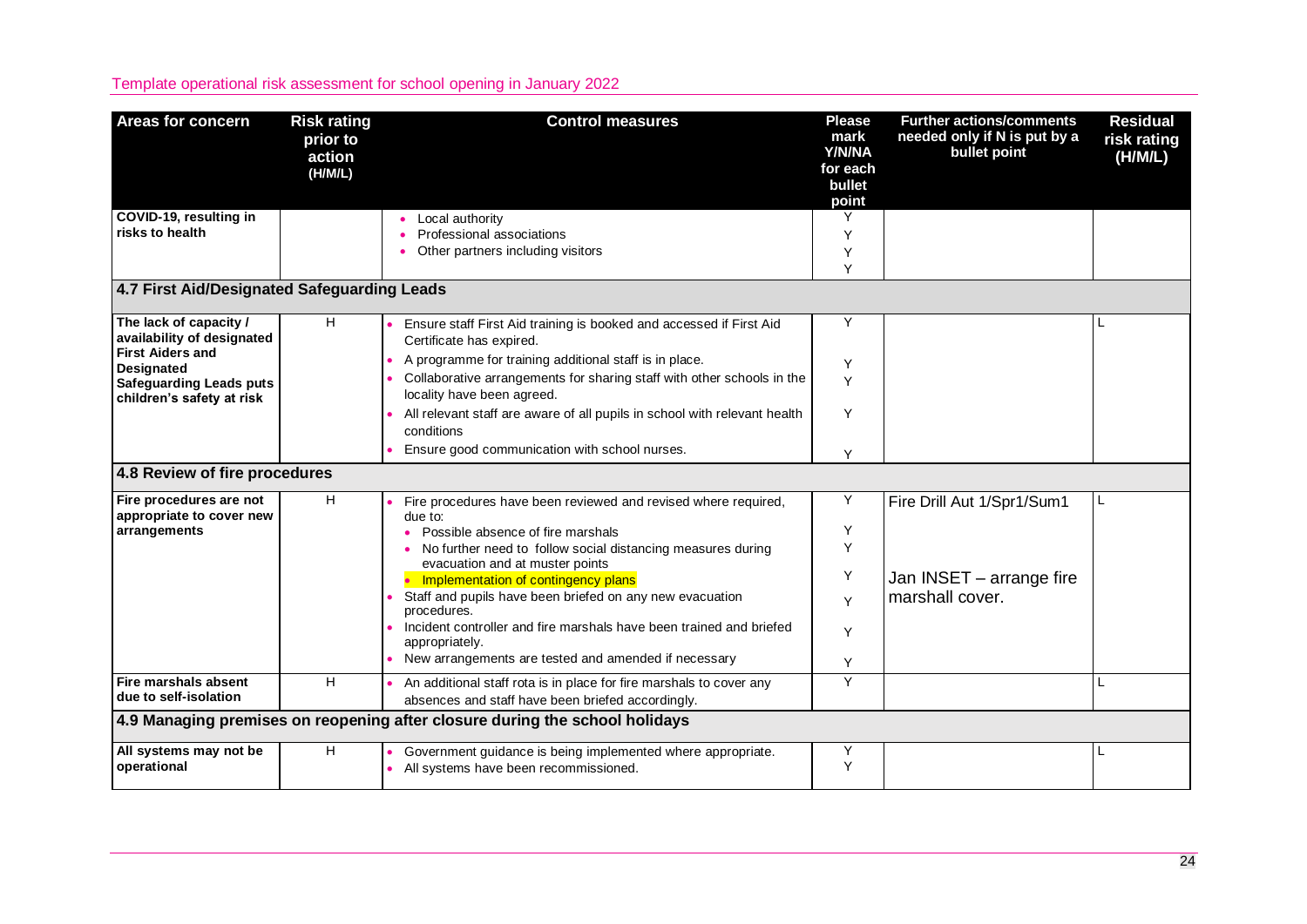| <b>Areas for concern</b>                                                                                                                                            | <b>Risk rating</b><br>prior to<br>action<br>(H/M/L) | <b>Control measures</b>                                                                                                                                                                                                                                                                                                                                                                                                                                                             | <b>Please</b><br>mark<br>Y/N/NA<br>for each<br>bullet<br>point | <b>Further actions/comments</b><br>needed only if N is put by a<br>bullet point | <b>Residual</b><br>risk rating<br>(H/M/L) |
|---------------------------------------------------------------------------------------------------------------------------------------------------------------------|-----------------------------------------------------|-------------------------------------------------------------------------------------------------------------------------------------------------------------------------------------------------------------------------------------------------------------------------------------------------------------------------------------------------------------------------------------------------------------------------------------------------------------------------------------|----------------------------------------------------------------|---------------------------------------------------------------------------------|-------------------------------------------|
| COVID-19, resulting in<br>risks to health                                                                                                                           |                                                     | Local authority<br>Professional associations<br>Other partners including visitors                                                                                                                                                                                                                                                                                                                                                                                                   | Y<br>Y<br>Y<br>Y                                               |                                                                                 |                                           |
| 4.7 First Aid/Designated Safeguarding Leads                                                                                                                         |                                                     |                                                                                                                                                                                                                                                                                                                                                                                                                                                                                     |                                                                |                                                                                 |                                           |
| The lack of capacity /<br>availability of designated<br><b>First Aiders and</b><br><b>Designated</b><br><b>Safeguarding Leads puts</b><br>children's safety at risk | H                                                   | Ensure staff First Aid training is booked and accessed if First Aid<br>Certificate has expired.<br>A programme for training additional staff is in place.<br>Collaborative arrangements for sharing staff with other schools in the<br>locality have been agreed.<br>All relevant staff are aware of all pupils in school with relevant health<br>conditions<br>Ensure good communication with school nurses.                                                                       | Y<br>Y<br>Y<br>Y                                               |                                                                                 |                                           |
| 4.8 Review of fire procedures                                                                                                                                       |                                                     |                                                                                                                                                                                                                                                                                                                                                                                                                                                                                     | Y                                                              |                                                                                 |                                           |
| Fire procedures are not<br>appropriate to cover new<br>arrangements                                                                                                 | H                                                   | Fire procedures have been reviewed and revised where required,<br>due to:<br>Possible absence of fire marshals<br>No further need to follow social distancing measures during<br>evacuation and at muster points<br>Implementation of contingency plans<br>Staff and pupils have been briefed on any new evacuation<br>procedures.<br>Incident controller and fire marshals have been trained and briefed<br>appropriately.<br>New arrangements are tested and amended if necessary | Y<br>Y<br>Y<br>Y<br>Y<br>Y<br>Y                                | Fire Drill Aut 1/Spr1/Sum1<br>Jan INSET - arrange fire<br>marshall cover.       |                                           |
| <b>Fire marshals absent</b><br>due to self-isolation                                                                                                                | н                                                   | An additional staff rota is in place for fire marshals to cover any<br>absences and staff have been briefed accordingly.                                                                                                                                                                                                                                                                                                                                                            | Y                                                              |                                                                                 | L                                         |
|                                                                                                                                                                     |                                                     | 4.9 Managing premises on reopening after closure during the school holidays                                                                                                                                                                                                                                                                                                                                                                                                         |                                                                |                                                                                 |                                           |
| All systems may not be<br>operational                                                                                                                               | Н                                                   | Government guidance is being implemented where appropriate.<br>• All systems have been recommissioned.                                                                                                                                                                                                                                                                                                                                                                              | Υ<br>Y                                                         |                                                                                 |                                           |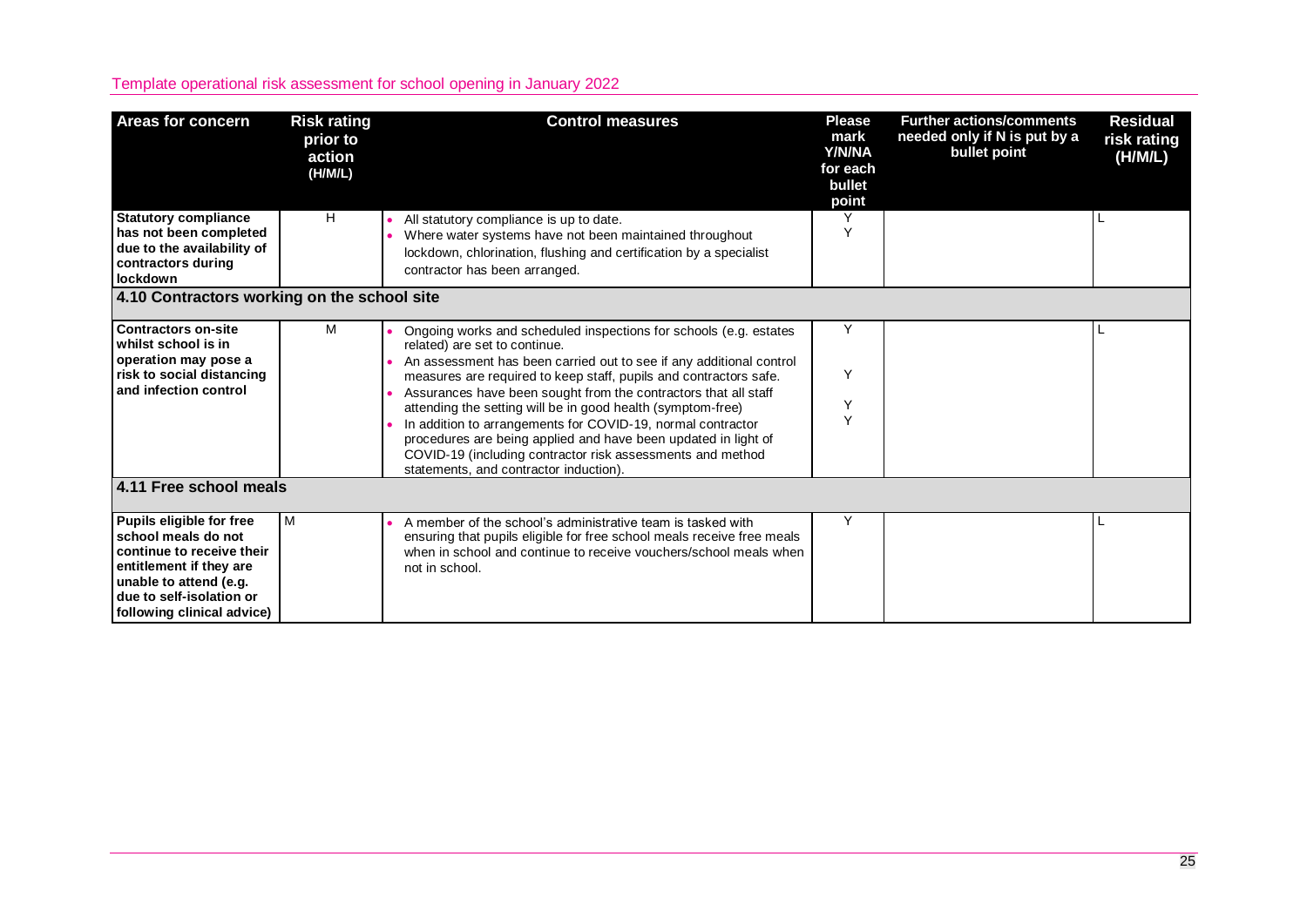| Areas for concern                                                                                                                                                                           | <b>Risk rating</b><br>prior to<br>action<br>(H/M/L) | <b>Control measures</b>                                                                                                                                                                                                                                                                                                                                                                                                                                                                                                                                                                                                   | <b>Please</b><br>mark<br><b>Y/N/NA</b><br>for each<br>bullet<br>point | <b>Further actions/comments</b><br>needed only if N is put by a<br>bullet point | <b>Residual</b><br>risk rating<br>(H/M/L) |  |  |
|---------------------------------------------------------------------------------------------------------------------------------------------------------------------------------------------|-----------------------------------------------------|---------------------------------------------------------------------------------------------------------------------------------------------------------------------------------------------------------------------------------------------------------------------------------------------------------------------------------------------------------------------------------------------------------------------------------------------------------------------------------------------------------------------------------------------------------------------------------------------------------------------------|-----------------------------------------------------------------------|---------------------------------------------------------------------------------|-------------------------------------------|--|--|
| <b>Statutory compliance</b><br>has not been completed<br>due to the availability of<br>contractors during<br>lockdown                                                                       | H                                                   | All statutory compliance is up to date.<br>Where water systems have not been maintained throughout<br>lockdown, chlorination, flushing and certification by a specialist<br>contractor has been arranged.                                                                                                                                                                                                                                                                                                                                                                                                                 | ٧                                                                     |                                                                                 |                                           |  |  |
| 4.10 Contractors working on the school site                                                                                                                                                 |                                                     |                                                                                                                                                                                                                                                                                                                                                                                                                                                                                                                                                                                                                           |                                                                       |                                                                                 |                                           |  |  |
| <b>Contractors on-site</b><br>whilst school is in<br>operation may pose a<br>risk to social distancing<br>and infection control                                                             | м                                                   | Ongoing works and scheduled inspections for schools (e.g. estates<br>related) are set to continue.<br>An assessment has been carried out to see if any additional control<br>measures are required to keep staff, pupils and contractors safe.<br>Assurances have been sought from the contractors that all staff<br>attending the setting will be in good health (symptom-free)<br>In addition to arrangements for COVID-19, normal contractor<br>procedures are being applied and have been updated in light of<br>COVID-19 (including contractor risk assessments and method<br>statements, and contractor induction). | Y<br>Υ<br>Υ<br>$\checkmark$                                           |                                                                                 |                                           |  |  |
| 4.11 Free school meals                                                                                                                                                                      |                                                     |                                                                                                                                                                                                                                                                                                                                                                                                                                                                                                                                                                                                                           |                                                                       |                                                                                 |                                           |  |  |
| Pupils eligible for free<br>school meals do not<br>continue to receive their<br>entitlement if they are<br>unable to attend (e.g.<br>due to self-isolation or<br>following clinical advice) | м                                                   | A member of the school's administrative team is tasked with<br>ensuring that pupils eligible for free school meals receive free meals<br>when in school and continue to receive vouchers/school meals when<br>not in school.                                                                                                                                                                                                                                                                                                                                                                                              | Υ                                                                     |                                                                                 |                                           |  |  |